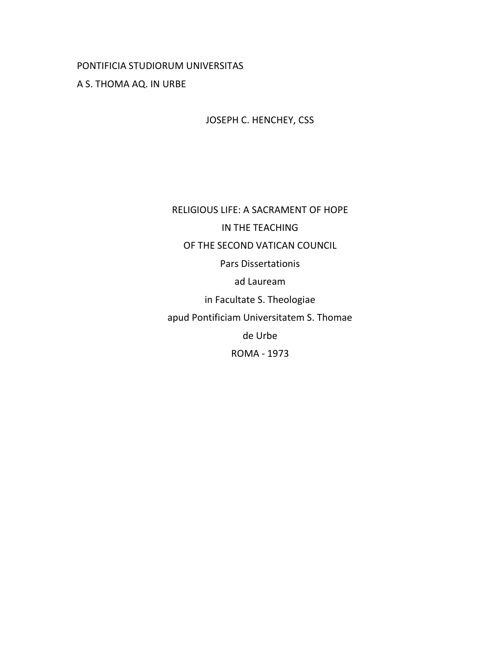# PONTIFICIA STUDIORUM UNIVERSITAS

# A S. THOMA AQ. IN URBE

JOSEPH C. HENCHEY, CSS

RELIGIOUS LIFE: A SACRAMENT OF HOPE IN THE TEACHING OF THE SECOND VATICAN COUNCIL Pars Dissertationis ad Lauream in Facultate S. Theologiae apud Pontificiam Universitatem S. Thomae de Urbe ROMA - 1973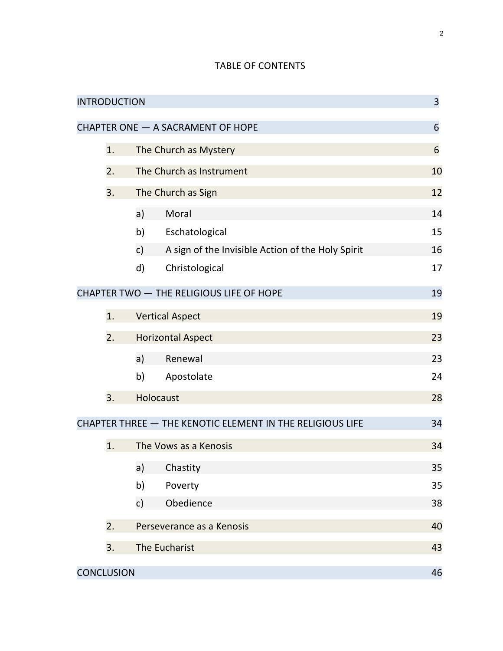# TABLE OF CONTENTS

| <b>INTRODUCTION</b>                                             |    |                           |                                                   | 3  |
|-----------------------------------------------------------------|----|---------------------------|---------------------------------------------------|----|
| CHAPTER ONE - A SACRAMENT OF HOPE                               |    |                           |                                                   | 6  |
|                                                                 | 1. | The Church as Mystery     |                                                   | 6  |
|                                                                 | 2. | The Church as Instrument  |                                                   | 10 |
|                                                                 | 3. | The Church as Sign        |                                                   |    |
|                                                                 |    | a)                        | Moral                                             | 14 |
|                                                                 |    | b)                        | Eschatological                                    | 15 |
|                                                                 |    | c)                        | A sign of the Invisible Action of the Holy Spirit | 16 |
|                                                                 |    | $\mathsf{d}$              | Christological                                    | 17 |
|                                                                 |    |                           | CHAPTER TWO - THE RELIGIOUS LIFE OF HOPE          | 19 |
|                                                                 | 1. | <b>Vertical Aspect</b>    |                                                   |    |
|                                                                 | 2. | <b>Horizontal Aspect</b>  |                                                   |    |
|                                                                 |    | a)                        | Renewal                                           | 23 |
|                                                                 |    | b)                        | Apostolate                                        | 24 |
|                                                                 | 3. |                           | Holocaust                                         | 28 |
| CHAPTER THREE - THE KENOTIC ELEMENT IN THE RELIGIOUS LIFE<br>34 |    |                           |                                                   |    |
|                                                                 | 1. |                           | The Vows as a Kenosis                             | 34 |
|                                                                 |    | a)                        | Chastity                                          | 35 |
|                                                                 |    | b)                        | Poverty                                           | 35 |
|                                                                 |    | c)                        | Obedience                                         | 38 |
|                                                                 | 2. | Perseverance as a Kenosis |                                                   | 40 |
|                                                                 | 3. | The Eucharist             |                                                   | 43 |
| <b>CONCLUSION</b>                                               |    |                           |                                                   | 46 |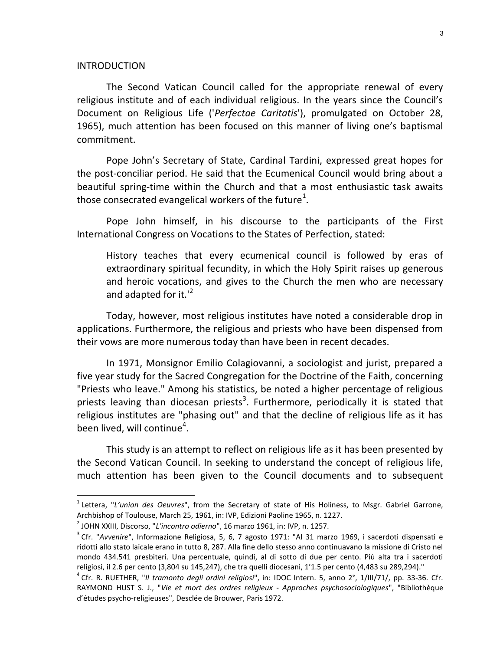#### INTRODUCTION

-

The Second Vatican Council called for the appropriate renewal of every religious institute and of each individual religious. In the years since the Council's Document on Religious Life ('Perfectae Caritatis'), promulgated on October 28, 1965), much attention has been focused on this manner of living one's baptismal commitment.

Pope John's Secretary of State, Cardinal Tardini, expressed great hopes for the post-conciliar period. He said that the Ecumenical Council would bring about a beautiful spring-time within the Church and that a most enthusiastic task awaits those consecrated evangelical workers of the future<sup>1</sup>.

Pope John himself, in his discourse to the participants of the First International Congress on Vocations to the States of Perfection, stated:

History teaches that every ecumenical council is followed by eras of extraordinary spiritual fecundity, in which the Holy Spirit raises up generous and heroic vocations, and gives to the Church the men who are necessary and adapted for it. $1<sup>2</sup>$ 

Today, however, most religious institutes have noted a considerable drop in applications. Furthermore, the religious and priests who have been dispensed from their vows are more numerous today than have been in recent decades.

In 1971, Monsignor Emilio Colagiovanni, a sociologist and jurist, prepared a five year study for the Sacred Congregation for the Doctrine of the Faith, concerning "Priests who leave." Among his statistics, be noted a higher percentage of religious priests leaving than diocesan priests<sup>3</sup>. Furthermore, periodically it is stated that religious institutes are "phasing out" and that the decline of religious life as it has been lived, will continue $^4$ .

This study is an attempt to reflect on religious life as it has been presented by the Second Vatican Council. In seeking to understand the concept of religious life, much attention has been given to the Council documents and to subsequent

<sup>&</sup>lt;sup>1</sup> Lettera, "L'union des Oeuvres", from the Secretary of state of His Holiness, to Msgr. Gabriel Garrone, Archbishop of Toulouse, March 25, 1961, in: IVP, Edizioni Paoline 1965, n. 1227.

 $^2$  JOHN XXIII, Discorso, "*L'incontro odierno*", 16 marzo 1961, in: IVP, n. 1257.

<sup>&</sup>lt;sup>3</sup> Cfr. "Avvenire", Informazione Religiosa, 5, 6, 7 agosto 1971: "Al 31 marzo 1969, i sacerdoti dispensati e ridotti allo stato laicale erano in tutto 8, 287. Alla fine dello stesso anno continuavano la missione di Cristo nel mondo 434.541 presbiteri. Una percentuale, quindi, al di sotto di due per cento. Più alta tra i sacerdoti religiosi, il 2.6 per cento (3,804 su 145,247), che tra quelli diocesani, 1'1.5 per cento (4,483 su 289,294)."

<sup>&</sup>lt;sup>4</sup> Cfr. R. RUETHER, "Il tramonto degli ordini religiosi", in: IDOC Intern. 5, anno 2°, 1/III/71/, pp. 33-36. Cfr. RAYMOND HUST S. J., "Vie et mort des ordres religieux - Approches psychosociologiques", "Bibliothèque d'études psycho-religieuses", Desclée de Brouwer, Paris 1972.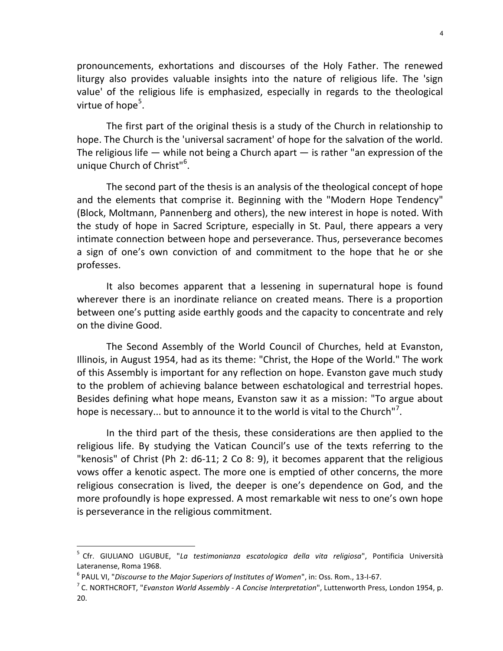pronouncements, exhortations and discourses of the Holy Father. The renewed liturgy also provides valuable insights into the nature of religious life. The 'sign value' of the religious life is emphasized, especially in regards to the theological virtue of hope<sup>5</sup>.

The first part of the original thesis is a study of the Church in relationship to hope. The Church is the 'universal sacrament' of hope for the salvation of the world. The religious life  $-$  while not being a Church apart  $-$  is rather "an expression of the unique Church of Christ"<sup>6</sup>.

The second part of the thesis is an analysis of the theological concept of hope and the elements that comprise it. Beginning with the "Modern Hope Tendency" (Block, Moltmann, Pannenberg and others), the new interest in hope is noted. With the study of hope in Sacred Scripture, especially in St. Paul, there appears a very intimate connection between hope and perseverance. Thus, perseverance becomes a sign of one's own conviction of and commitment to the hope that he or she professes.

It also becomes apparent that a lessening in supernatural hope is found wherever there is an inordinate reliance on created means. There is a proportion between one's putting aside earthly goods and the capacity to concentrate and rely on the divine Good.

The Second Assembly of the World Council of Churches, held at Evanston, Illinois, in August 1954, had as its theme: "Christ, the Hope of the World." The work of this Assembly is important for any reflection on hope. Evanston gave much study to the problem of achieving balance between eschatological and terrestrial hopes. Besides defining what hope means, Evanston saw it as a mission: "To argue about hope is necessary... but to announce it to the world is vital to the Church"<sup>7</sup>.

In the third part of the thesis, these considerations are then applied to the religious life. By studying the Vatican Council's use of the texts referring to the "kenosis" of Christ (Ph 2: d6-11; 2 Co 8: 9), it becomes apparent that the religious vows offer a kenotic aspect. The more one is emptied of other concerns, the more religious consecration is lived, the deeper is one's dependence on God, and the more profoundly is hope expressed. A most remarkable wit ness to one's own hope is perseverance in the religious commitment.

<sup>&</sup>lt;sup>5</sup> Cfr. GIULIANO LIGUBUE, "La testimonianza escatologica della vita religiosa", Pontificia Università Lateranense, Roma 1968.

 $^6$  PAUL VI, "Discourse to the Major Superiors of Institutes of Women", in: Oss. Rom., 13-I-67.  $\,$ 

 $^7$  C. NORTHCROFT, "*Evanston World Assembly - A Concise Interpretation*", Luttenworth Press, London 1954, p. 20.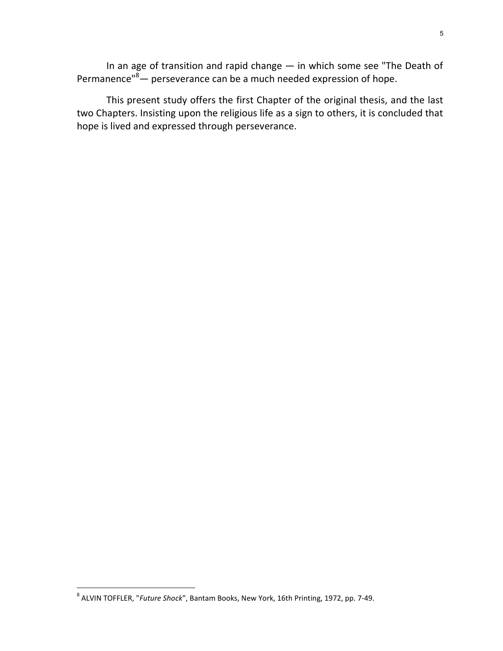In an age of transition and rapid change — in which some see "The Death of Permanence"<sup>8</sup> — perseverance can be a much needed expression of hope.

This present study offers the first Chapter of the original thesis, and the last two Chapters. Insisting upon the religious life as a sign to others, it is concluded that hope is lived and expressed through perseverance.

<sup>&</sup>lt;sup>8</sup> ALVIN TOFFLER, "*Future Shock*", Bantam Books, New York, 16th Printing, 1972, pp. 7-49.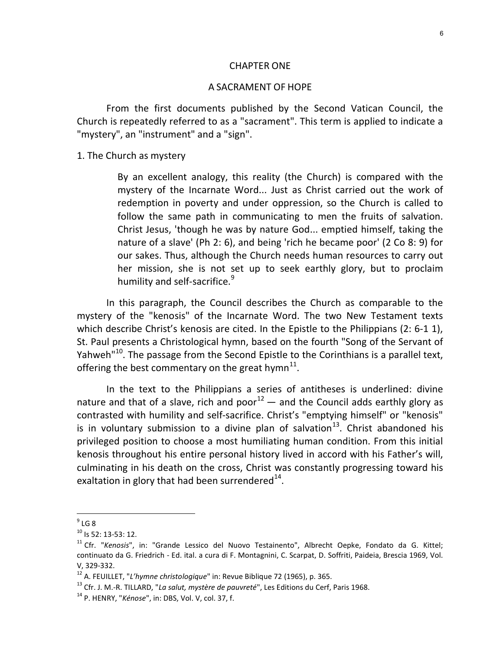#### CHAPTER ONE

#### A SACRAMENT OF HOPE

From the first documents published by the Second Vatican Council, the Church is repeatedly referred to as a "sacrament". This term is applied to indicate a "mystery", an "instrument" and a "sign".

1. The Church as mystery

By an excellent analogy, this reality (the Church) is compared with the mystery of the Incarnate Word... Just as Christ carried out the work of redemption in poverty and under oppression, so the Church is called to follow the same path in communicating to men the fruits of salvation. Christ Jesus, 'though he was by nature God... emptied himself, taking the nature of a slave' (Ph 2: 6), and being 'rich he became poor' (2 Co 8: 9) for our sakes. Thus, although the Church needs human resources to carry out her mission, she is not set up to seek earthly glory, but to proclaim humility and self-sacrifice.<sup>9</sup>

In this paragraph, the Council describes the Church as comparable to the mystery of the "kenosis" of the Incarnate Word. The two New Testament texts which describe Christ's kenosis are cited. In the Epistle to the Philippians (2: 6-1 1), St. Paul presents a Christological hymn, based on the fourth "Song of the Servant of Yahweh<sup>"10</sup>. The passage from the Second Epistle to the Corinthians is a parallel text, offering the best commentary on the great hymn $^{11}$ .

In the text to the Philippians a series of antitheses is underlined: divine nature and that of a slave, rich and poor<sup>12</sup> — and the Council adds earthly glory as contrasted with humility and self-sacrifice. Christ's "emptying himself" or "kenosis" is in voluntary submission to a divine plan of salvation<sup>13</sup>. Christ abandoned his privileged position to choose a most humiliating human condition. From this initial kenosis throughout his entire personal history lived in accord with his Father's will, culminating in his death on the cross, Christ was constantly progressing toward his exaltation in glory that had been surrendered $^{14}$ .

 $\frac{1}{9}$  LG 8

 $10$  Is 52: 13-53: 12.

<sup>&</sup>lt;sup>11</sup> Cfr. "Kenosis", in: "Grande Lessico del Nuovo Testainento", Albrecht Oepke, Fondato da G. Kittel; continuato da G. Friedrich - Ed. ital. a cura di F. Montagnini, C. Scarpat, D. Soffriti, Paideia, Brescia 1969, Vol. V, 329-332.

 $12^{12}$  A. FEUILLET, "L'hymne christologique" in: Revue Biblique 72 (1965), p. 365.

 $13$  Cfr. J. M.-R. TILLARD, "La salut, mystère de pauvreté", Les Editions du Cerf, Paris 1968.

 $14$  P. HENRY, "Kénose", in: DBS, Vol. V, col. 37, f.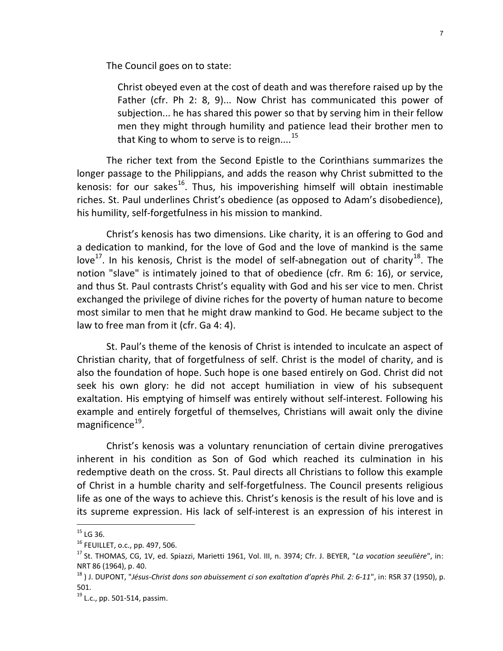The Council goes on to state:

Christ obeyed even at the cost of death and was therefore raised up by the Father (cfr. Ph 2: 8, 9)... Now Christ has communicated this power of subjection... he has shared this power so that by serving him in their fellow men they might through humility and patience lead their brother men to that King to whom to serve is to reign....<sup>15</sup>

The richer text from the Second Epistle to the Corinthians summarizes the longer passage to the Philippians, and adds the reason why Christ submitted to the kenosis: for our sakes<sup>16</sup>. Thus, his impoverishing himself will obtain inestimable riches. St. Paul underlines Christ's obedience (as opposed to Adam's disobedience), his humility, self-forgetfulness in his mission to mankind.

Christ's kenosis has two dimensions. Like charity, it is an offering to God and a dedication to mankind, for the love of God and the love of mankind is the same love<sup>17</sup>. In his kenosis, Christ is the model of self-abnegation out of charity<sup>18</sup>. The notion "slave" is intimately joined to that of obedience (cfr. Rm 6: 16), or service, and thus St. Paul contrasts Christ's equality with God and his ser vice to men. Christ exchanged the privilege of divine riches for the poverty of human nature to become most similar to men that he might draw mankind to God. He became subject to the law to free man from it (cfr. Ga 4: 4).

St. Paul's theme of the kenosis of Christ is intended to inculcate an aspect of Christian charity, that of forgetfulness of self. Christ is the model of charity, and is also the foundation of hope. Such hope is one based entirely on God. Christ did not seek his own glory: he did not accept humiliation in view of his subsequent exaltation. His emptying of himself was entirely without self-interest. Following his example and entirely forgetful of themselves, Christians will await only the divine magnificence<sup>19</sup>.

Christ's kenosis was a voluntary renunciation of certain divine prerogatives inherent in his condition as Son of God which reached its culmination in his redemptive death on the cross. St. Paul directs all Christians to follow this example of Christ in a humble charity and self-forgetfulness. The Council presents religious life as one of the ways to achieve this. Christ's kenosis is the result of his love and is its supreme expression. His lack of self-interest is an expression of his interest in

 $^{15}$  LG 36.

<sup>16</sup> FEUILLET, o.c., pp. 497, 506.

<sup>&</sup>lt;sup>17</sup> St. THOMAS, CG, 1V, ed. Spiazzi, Marietti 1961, Vol. III, n. 3974; Cfr. J. BEYER, "La vocation seeulière", in: NRT 86 (1964), p. 40.

 $^{18}$ ) J. DUPONT, "Jésus-Christ dons son abuissement ci son exaltation d'après Phil. 2: 6-11", in: RSR 37 (1950), p. 501.

<sup>&</sup>lt;sup>19</sup> L.c., pp. 501-514, passim.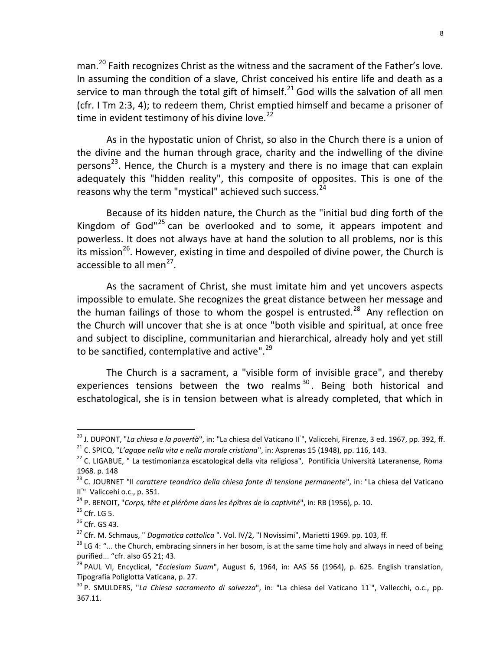man.<sup>20</sup> Faith recognizes Christ as the witness and the sacrament of the Father's love. In assuming the condition of a slave, Christ conceived his entire life and death as a service to man through the total gift of himself.<sup>21</sup> God wills the salvation of all men (cfr. I Tm 2:3, 4); to redeem them, Christ emptied himself and became a prisoner of time in evident testimony of his divine love. $^{22}$ 

As in the hypostatic union of Christ, so also in the Church there is a union of the divine and the human through grace, charity and the indwelling of the divine persons<sup>23</sup>. Hence, the Church is a mystery and there is no image that can explain adequately this "hidden reality", this composite of opposites. This is one of the reasons why the term "mystical" achieved such success.<sup>24</sup>

Because of its hidden nature, the Church as the "initial bud ding forth of the Kingdom of God"<sup>25</sup> can be overlooked and to some, it appears impotent and powerless. It does not always have at hand the solution to all problems, nor is this its mission<sup>26</sup>. However, existing in time and despoiled of divine power, the Church is accessible to all men<sup>27</sup>.

As the sacrament of Christ, she must imitate him and yet uncovers aspects impossible to emulate. She recognizes the great distance between her message and the human failings of those to whom the gospel is entrusted.<sup>28</sup> Any reflection on the Church will uncover that she is at once "both visible and spiritual, at once free and subject to discipline, communitarian and hierarchical, already holy and yet still to be sanctified, contemplative and active".<sup>29</sup>

The Church is a sacrament, a "visible form of invisible grace", and thereby experiences tensions between the two realms  $30$ . Being both historical and eschatological, she is in tension between what is already completed, that which in

<sup>&</sup>lt;sup>20</sup> J. DUPONT, "*La chiesa e la povertà*", in: "La chiesa del Vaticano II<sup>°</sup>", Valiccehi, Firenze, 3 ed. 1967, pp. 392, ff.

<sup>&</sup>lt;sup>21</sup> C. SPICQ, "L'agape nella vita e nella morale cristiana", in: Asprenas 15 (1948), pp. 116, 143.

<sup>&</sup>lt;sup>22</sup> C. LIGABUE, " La testimonianza escatological della vita religiosa", Pontificia Università Lateranense, Roma 1968. p. 148

<sup>&</sup>lt;sup>23</sup> C. JOURNET "Il carattere teandrico della chiesa fonte di tensione permanente", in: "La chiesa del Vaticano II<sup>°</sup>" Valiccehi o.c., p. 351.

 $^{24}$  P. BENOIT, "Corps, tête et plérôme dans les épîtres de la captivité", in: RB (1956), p. 10.

 $25$  Cfr. LG 5.

<sup>&</sup>lt;sup>26</sup> Cfr. GS 43.

 $27$  Cfr. M. Schmaus, " Dogmatica cattolica ". Vol. IV/2, "I Novissimi", Marietti 1969. pp. 103, ff.

<sup>&</sup>lt;sup>28</sup> LG 4: "... the Church, embracing sinners in her bosom, is at the same time holy and always in need of being purified... "cfr. also GS 21; 43.

<sup>&</sup>lt;sup>29</sup> PAUL VI, Encyclical, "*Ecclesiam Suam*", August 6, 1964, in: AAS 56 (1964), p. 625. English translation, Tipografia Poliglotta Vaticana, p. 27.

<sup>&</sup>lt;sup>30</sup> P. SMULDERS, "*La Chiesa sacramento di salvezza*", in: "La chiesa del Vaticano 11<sup>°</sup>", Vallecchi, o.c., pp. 367.11.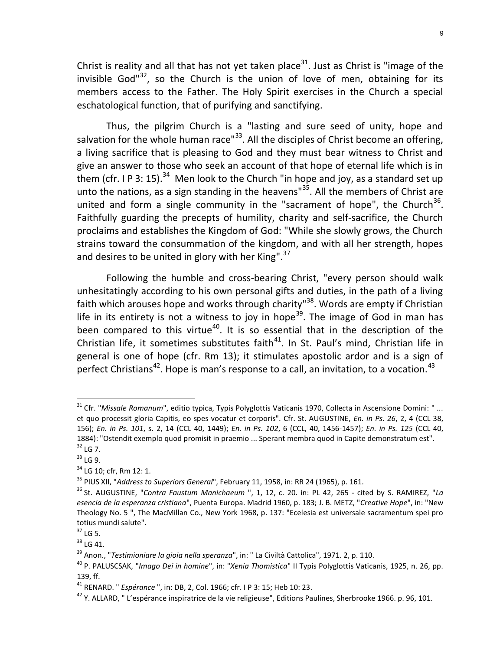Christ is reality and all that has not yet taken place<sup>31</sup>. Just as Christ is "image of the invisible God" $32$ , so the Church is the union of love of men, obtaining for its members access to the Father. The Holy Spirit exercises in the Church a special eschatological function, that of purifying and sanctifying.

Thus, the pilgrim Church is a "lasting and sure seed of unity, hope and salvation for the whole human race" $33$ . All the disciples of Christ become an offering, a living sacrifice that is pleasing to God and they must bear witness to Christ and give an answer to those who seek an account of that hope of eternal life which is in them (cfr. I P 3: 15).<sup>34</sup> Men look to the Church "in hope and joy, as a standard set up unto the nations, as a sign standing in the heavens" $35$ . All the members of Christ are united and form a single community in the "sacrament of hope", the Church $^{36}$ . Faithfully guarding the precepts of humility, charity and self-sacrifice, the Church proclaims and establishes the Kingdom of God: "While she slowly grows, the Church strains toward the consummation of the kingdom, and with all her strength, hopes and desires to be united in glory with her King".<sup>37</sup>

Following the humble and cross-bearing Christ, "every person should walk unhesitatingly according to his own personal gifts and duties, in the path of a living faith which arouses hope and works through charity<sup>"38</sup>. Words are empty if Christian life in its entirety is not a witness to joy in hope<sup>39</sup>. The image of God in man has been compared to this virtue<sup>40</sup>. It is so essential that in the description of the Christian life, it sometimes substitutes faith $41$ . In St. Paul's mind, Christian life in general is one of hope (cfr. Rm 13); it stimulates apostolic ardor and is a sign of perfect Christians<sup>42</sup>. Hope is man's response to a call, an invitation, to a vocation.<sup>43</sup>

<sup>&</sup>lt;sup>31</sup> Cfr. "Missale Romanum", editio typica, Typis Polyglottis Vaticanis 1970, Collecta in Ascensione Domini: " ... et quo processit gloria Capitis, eo spes vocatur et corporis". Cfr. St. AUGUSTINE, En. in Ps. 26, 2, 4 (CCL 38, 156); En. in Ps. 101, s. 2, 14 (CCL 40, 1449); En. in Ps. 102, 6 (CCL, 40, 1456-1457); En. in Ps. 125 (CCL 40, 1884): "Ostendit exemplo quod promisit in praemio ... Sperant membra quod in Capite demonstratum est".  $32$  LG 7.

<sup>33</sup> LG 9.

<sup>&</sup>lt;sup>34</sup> LG 10; cfr, Rm 12: 1.

<sup>&</sup>lt;sup>35</sup> PIUS XII, "Address to Superiors General", February 11, 1958, in: RR 24 (1965), p. 161.

 $36$  St. AUGUSTINE, "Contra Faustum Manichaeum ", 1, 12, c. 20. in: PL 42, 265 - cited by S. RAMIREZ, "La esencia de la esperanza cristiana", Puenta Europa. Madrid 1960, p. 183; J. B. METZ, "Creative Hope", in: "New Theology No. 5 ", The MacMillan Co., New York 1968, p. 137: "Ecelesia est universale sacramentum spei pro totius mundi salute".

 $37$  LG 5.

 $38$  LG 41.

<sup>&</sup>lt;sup>39</sup> Anon., "Testimioniare la gioia nella speranza", in: " La Civiltà Cattolica", 1971. 2, p. 110.

<sup>&</sup>lt;sup>40</sup> P. PALUSCSAK, "Imago Dei in homine", in: "Xenia Thomistica" II Typis Polyglottis Vaticanis, 1925, n. 26, pp. 139, ff.

<sup>&</sup>lt;sup>41</sup> RENARD. " *Espérance* ", in: DB, 2, Col. 1966; cfr. I P 3: 15; Heb 10: 23.

<sup>42</sup> Y. ALLARD, " L'espérance inspiratrice de la vie religieuse", Editions Paulines, Sherbrooke 1966. p. 96, 101.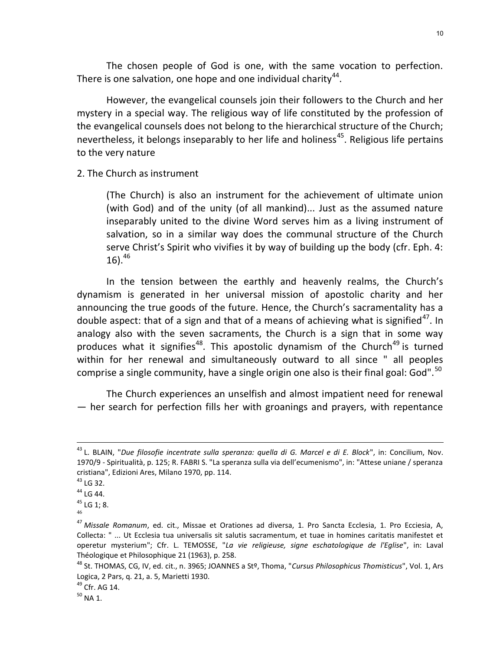The chosen people of God is one, with the same vocation to perfection. There is one salvation, one hope and one individual charity<sup>44</sup>.

However, the evangelical counsels join their followers to the Church and her mystery in a special way. The religious way of life constituted by the profession of the evangelical counsels does not belong to the hierarchical structure of the Church; nevertheless, it belongs inseparably to her life and holiness<sup>45</sup>. Religious life pertains to the very nature

2. The Church as instrument

(The Church) is also an instrument for the achievement of ultimate union (with God) and of the unity (of all mankind)... Just as the assumed nature inseparably united to the divine Word serves him as a living instrument of salvation, so in a similar way does the communal structure of the Church serve Christ's Spirit who vivifies it by way of building up the body (cfr. Eph. 4:  $16).^{46}$ 

In the tension between the earthly and heavenly realms, the Church's dynamism is generated in her universal mission of apostolic charity and her announcing the true goods of the future. Hence, the Church's sacramentality has a double aspect: that of a sign and that of a means of achieving what is signified<sup>47</sup>. In analogy also with the seven sacraments, the Church is a sign that in some way produces what it signifies<sup>48</sup>. This apostolic dynamism of the Church<sup>49</sup> is turned within for her renewal and simultaneously outward to all since " all peoples comprise a single community, have a single origin one also is their final goal: God".<sup>50</sup>

The Church experiences an unselfish and almost impatient need for renewal — her search for perfection fills her with groanings and prayers, with repentance

 $\overline{a}$ 

<sup>&</sup>lt;sup>43</sup> L. BLAIN, "Due filosofie incentrate sulla speranza: quella di G. Marcel e di E. Block", in: Concilium, Nov. 1970/9 - Spiritualità, p. 125; R. FABRI S. "La speranza sulla via dell'ecumenismo", in: "Attese uniane / speranza cristiana", Edizioni Ares, Milano 1970, pp. 114.

 $43$  LG 32.

<sup>44</sup> LG 44.

<sup>45</sup> LG 1; 8.

<sup>46</sup>

<sup>&</sup>lt;sup>47</sup> Missale Romanum, ed. cit., Missae et Orationes ad diversa, 1. Pro Sancta Ecclesia, 1. Pro Ecciesia, A, Collecta: " ... Ut Ecclesia tua universalis sit salutis sacramentum, et tuae in homines caritatis manifestet et operetur mysterium"; Cfr. L. TEMOSSE, "La vie religieuse, signe eschatologique de l'Eglise", in: Laval Théologique et Philosophique 21 (1963), p. 258.

<sup>48</sup> St. THOMAS, CG, IV, ed. cit., n. 3965; JOANNES a Stº, Thoma, "Cursus Philosophicus Thomisticus", Vol. 1, Ars Logica, 2 Pars, q. 21, a. 5, Marietti 1930.

<sup>49</sup> Cfr. AG 14.

 $50$  NA 1.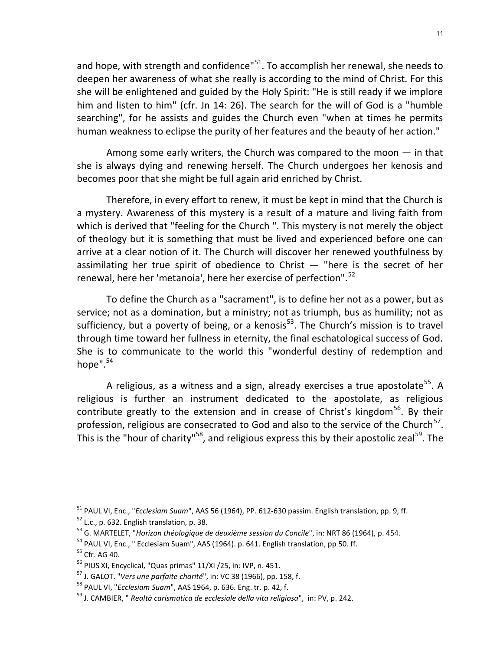and hope, with strength and confidence"<sup>51</sup>. To accomplish her renewal, she needs to deepen her awareness of what she really is according to the mind of Christ. For this she will be enlightened and guided by the Holy Spirit: "He is still ready if we implore him and listen to him" (cfr. Jn 14: 26). The search for the will of God is a "humble searching", for he assists and guides the Church even "when at times he permits human weakness to eclipse the purity of her features and the beauty of her action."

Among some early writers, the Church was compared to the moon — in that she is always dying and renewing herself. The Church undergoes her kenosis and becomes poor that she might be full again arid enriched by Christ.

Therefore, in every effort to renew, it must be kept in mind that the Church is a mystery. Awareness of this mystery is a result of a mature and living faith from which is derived that "feeling for the Church ". This mystery is not merely the object of theology but it is something that must be lived and experienced before one can arrive at a clear notion of it. The Church will discover her renewed youthfulness by assimilating her true spirit of obedience to Christ  $-$  "here is the secret of her renewal, here her 'metanoia', here her exercise of perfection".<sup>52</sup>

To define the Church as a "sacrament", is to define her not as a power, but as service; not as a domination, but a ministry; not as triumph, bus as humility; not as sufficiency, but a poverty of being, or a kenosis<sup>53</sup>. The Church's mission is to travel through time toward her fullness in eternity, the final eschatological success of God. She is to communicate to the world this "wonderful destiny of redemption and hope".<sup>54</sup>

A religious, as a witness and a sign, already exercises a true apostolate<sup>55</sup>. A religious is further an instrument dedicated to the apostolate, as religious contribute greatly to the extension and in crease of Christ's kingdom<sup>56</sup>. By their profession, religious are consecrated to God and also to the service of the Church<sup>57</sup>. This is the "hour of charity"<sup>58</sup>, and religious express this by their apostolic zeal<sup>59</sup>. The

<sup>&</sup>lt;sup>51</sup> PAUL VI, Enc., "*Ecclesiam Suam*", AAS 56 (1964), PP. 612-630 passim. English translation, pp. 9, ff. <sup>52</sup> L.c., p. 632. English translation, p. 38.

<sup>&</sup>lt;sup>53</sup> G. MARTELET, "Horizon théologique de deuxième session du Concile", in: NRT 86 (1964), p. 454.

<sup>&</sup>lt;sup>54</sup> PAUL VI, Enc., " Ecclesiam Suam", AAS (1964). p. 641. English translation, pp 50. ff.

<sup>55</sup> Cfr. AG 40.

<sup>56</sup> PIUS XI, Encyclical, "Quas primas" 11/XI /25, in: IVP, n. 451.

<sup>&</sup>lt;sup>57</sup> J. GALOT. "Vers une parfaite charité", in: VC 38 (1966), pp. 158, f.

 $58$  PAUL VI, "*Ecclesiam Suam*", AAS 1964, p. 636. Eng. tr. p. 42, f.

 $59$  J. CAMBIER, " Realtà carismatica de ecclesiale della vita religiosa", in: PV, p. 242.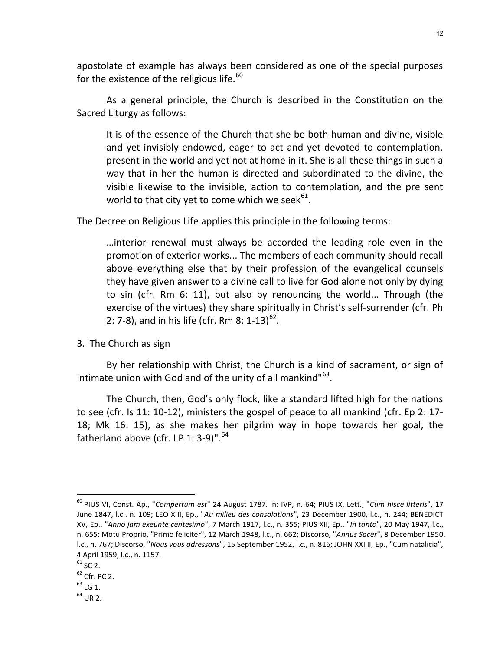apostolate of example has always been considered as one of the special purposes for the existence of the religious life. $^{60}$ 

As a general principle, the Church is described in the Constitution on the Sacred Liturgy as follows:

It is of the essence of the Church that she be both human and divine, visible and yet invisibly endowed, eager to act and yet devoted to contemplation, present in the world and yet not at home in it. She is all these things in such a way that in her the human is directed and subordinated to the divine, the visible likewise to the invisible, action to contemplation, and the pre sent world to that city yet to come which we seek $^{61}$ .

The Decree on Religious Life applies this principle in the following terms:

…interior renewal must always be accorded the leading role even in the promotion of exterior works... The members of each community should recall above everything else that by their profession of the evangelical counsels they have given answer to a divine call to live for God alone not only by dying to sin (cfr. Rm 6: 11), but also by renouncing the world... Through (the exercise of the virtues) they share spiritually in Christ's self-surrender (cfr. Ph 2: 7-8), and in his life (cfr. Rm 8: 1-13)<sup>62</sup>.

3. The Church as sign

By her relationship with Christ, the Church is a kind of sacrament, or sign of intimate union with God and of the unity of all mankind" $^{63}$ .

The Church, then, God's only flock, like a standard lifted high for the nations to see (cfr. Is 11: 10-12), ministers the gospel of peace to all mankind (cfr. Ep 2: 17- 18; Mk 16: 15), as she makes her pilgrim way in hope towards her goal, the fatherland above (cfr.  $I$  P 1: 3-9)".<sup>64</sup>

<sup>&</sup>lt;sup>60</sup> PIUS VI, Const. Ap., "Compertum est" 24 August 1787. in: IVP, n. 64; PIUS IX, Lett., "Cum hisce litteris", 17 June 1847, l.c.. n. 109; LEO XIII, Ep., "Au milieu des consolations", 23 December 1900, l.c., n. 244; BENEDICT XV, Ep.. "Anno jam exeunte centesimo", 7 March 1917, l.c., n. 355; PIUS XII, Ep., "In tanto", 20 May 1947, l.c., n. 655: Motu Proprio, "Primo feliciter", 12 March 1948, l.c., n. 662; Discorso, "Annus Sacer", 8 December 1950, l.c., n. 767; Discorso, "Nous vous adressons", 15 September 1952, l.c., n. 816; JOHN XXI II, Ep., "Cum natalicia", 4 April 1959, l.c., n. 1157.

 $^{61}$  SC 2.

 $62$  Cfr. PC 2.

 $63$  LG 1.

 $64$  UR 2.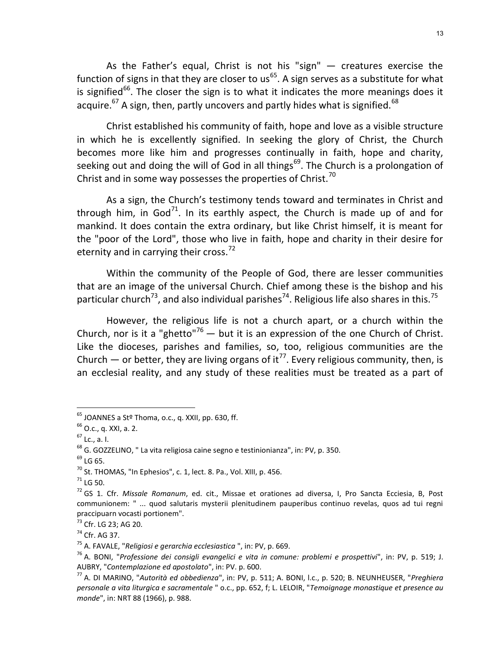As the Father's equal, Christ is not his "sign" — creatures exercise the function of signs in that they are closer to  $us^{65}$ . A sign serves as a substitute for what is signified<sup>66</sup>. The closer the sign is to what it indicates the more meanings does it acquire.<sup>67</sup> A sign, then, partly uncovers and partly hides what is signified.<sup>68</sup>

Christ established his community of faith, hope and love as a visible structure in which he is excellently signified. In seeking the glory of Christ, the Church becomes more like him and progresses continually in faith, hope and charity, seeking out and doing the will of God in all things<sup>69</sup>. The Church is a prolongation of Christ and in some way possesses the properties of Christ.<sup>70</sup>

As a sign, the Church's testimony tends toward and terminates in Christ and through him, in God<sup>71</sup>. In its earthly aspect, the Church is made up of and for mankind. It does contain the extra ordinary, but like Christ himself, it is meant for the "poor of the Lord", those who live in faith, hope and charity in their desire for eternity and in carrying their cross. $72$ 

Within the community of the People of God, there are lesser communities that are an image of the universal Church. Chief among these is the bishop and his particular church<sup>73</sup>, and also individual parishes<sup>74</sup>. Religious life also shares in this.<sup>75</sup>

However, the religious life is not a church apart, or a church within the Church, nor is it a "ghetto"<sup>76</sup> — but it is an expression of the one Church of Christ. Like the dioceses, parishes and families, so, too, religious communities are the Church — or better, they are living organs of it<sup>77</sup>. Every religious community, then, is an ecclesial reality, and any study of these realities must be treated as a part of

 $<sup>65</sup>$  JOANNES a St<sup>o</sup> Thoma, o.c., q. XXII, pp. 630, ff.</sup>

 $66$  O.c., q. XXI, a. 2.

 $67$  Lc., a. I.

<sup>&</sup>lt;sup>68</sup> G. GOZZELINO, " La vita religiosa caine segno e testinionianza", in: PV, p. 350.

 $69$  LG 65.

 $^{70}$  St. THOMAS, "In Ephesios", c. 1, lect. 8. Pa., Vol. XIII, p. 456.

 $71$  LG 50.

 $72$  GS 1. Cfr. Missale Romanum, ed. cit., Missae et orationes ad diversa, I, Pro Sancta Ecciesia, B, Post communionem: " ... quod salutaris mysterii plenitudinem pauperibus continuo revelas, quos ad tui regni praccipuarn vocasti portionem".

<sup>73</sup> Cfr. LG 23; AG 20.

<sup>74</sup> Cfr. AG 37.

 $75$  A. FAVALE, "Religiosi e gerarchia ecclesiastica ", in: PV, p. 669.

 $76$  A. BONI, "Professione dei consigli evangelici e vita in comune: problemi e prospettivi", in: PV, p. 519; J. AUBRY, "Contemplazione ed apostolato", in: PV. p. 600.

<sup>77</sup> A. DI MARINO, "Autorità ed obbedienza", in: PV, p. 511; A. BONI, l.c., p. 520; B. NEUNHEUSER, "Preghiera personale a vita liturgica e sacramentale " o.c., pp. 652, f; L. LELOIR, "Temoignage monastique et presence au monde", in: NRT 88 (1966), p. 988.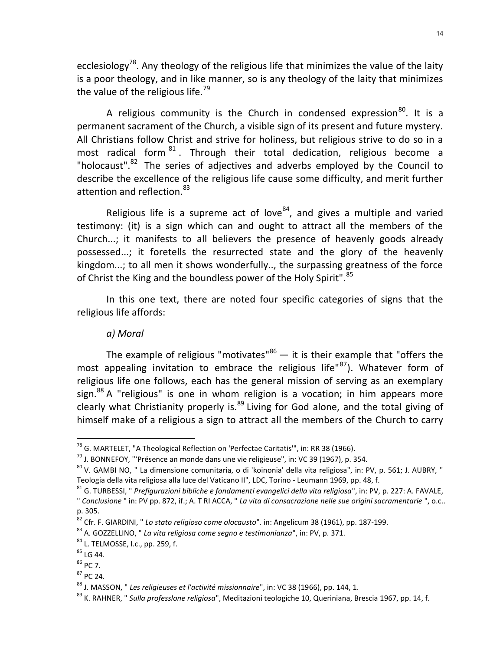ecclesiology<sup>78</sup>. Any theology of the religious life that minimizes the value of the laity is a poor theology, and in like manner, so is any theology of the laity that minimizes the value of the religious life.<sup>79</sup>

A religious community is the Church in condensed expression $^{80}$ . It is a permanent sacrament of the Church, a visible sign of its present and future mystery. All Christians follow Christ and strive for holiness, but religious strive to do so in a most radical form  $81$ . Through their total dedication, religious become a "holocaust". $82$  The series of adjectives and adverbs employed by the Council to describe the excellence of the religious life cause some difficulty, and merit further attention and reflection.<sup>83</sup>

Religious life is a supreme act of love $^{84}$ , and gives a multiple and varied testimony: (it) is a sign which can and ought to attract all the members of the Church...; it manifests to all believers the presence of heavenly goods already possessed...; it foretells the resurrected state and the glory of the heavenly kingdom...; to all men it shows wonderfully.., the surpassing greatness of the force of Christ the King and the boundless power of the Holy Spirit".<sup>85</sup>

In this one text, there are noted four specific categories of signs that the religious life affords:

### a) Moral

The example of religious "motivates" $86 -$  it is their example that "offers the most appealing invitation to embrace the religious life" $^{87}$ ). Whatever form of religious life one follows, each has the general mission of serving as an exemplary sign.<sup>88</sup> A "religious" is one in whom religion is a vocation; in him appears more clearly what Christianity properly is. $89$  Living for God alone, and the total giving of himself make of a religious a sign to attract all the members of the Church to carry

-

 $87$  PC 24.

 $78$  G. MARTELET, "A Theological Reflection on 'Perfectae Caritatis'", in: RR 38 (1966).

 $79$  J. BONNEFOY, "'Présence an monde dans une vie religieuse", in: VC 39 (1967), p. 354.

<sup>80</sup> V. GAMBI NO, " La dimensione comunitaria, o di 'koinonia' della vita religiosa", in: PV, p. 561; J. AUBRY, " Teologia della vita religiosa alla luce del Vaticano II", LDC, Torino - Leumann 1969, pp. 48, f.

 $81$  G. TURBESSI, " Prefigurazioni bibliche e fondamenti evangelici della vita religiosa", in: PV, p. 227: A. FAVALE, " Conclusione " in: PV pp. 872, if.; A. T RI ACCA, " La vita di consacrazione nelle sue origini sacramentarie ", o.c..

p. 305.

 $82$  Cfr. F. GIARDINI, " Lo stato religioso come olocausto". in: Angelicum 38 (1961), pp. 187-199.

<sup>&</sup>lt;sup>83</sup> A. GOZZELLINO, " La vita religiosa come segno e testimonianza", in: PV, p. 371.

 $84$  L. TELMOSSE, l.c., pp. 259, f.

<sup>85</sup> LG 44.

<sup>86</sup> PC 7.

 $88$  J. MASSON, "Les religieuses et l'activité missionnaire", in: VC 38 (1966), pp. 144, 1.

<sup>&</sup>lt;sup>89</sup> K. RAHNER, " Sulla professlone religiosa", Meditazioni teologiche 10, Queriniana, Brescia 1967, pp. 14, f.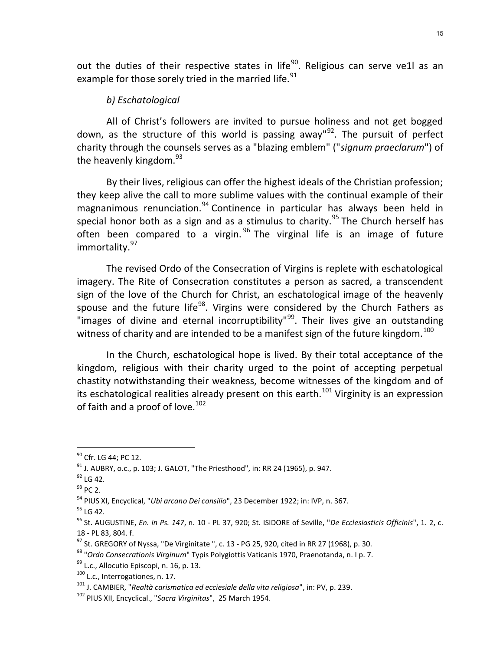out the duties of their respective states in life<sup>90</sup>. Religious can serve ve1l as an example for those sorely tried in the married life.<sup>91</sup>

# b) Eschatological

All of Christ's followers are invited to pursue holiness and not get bogged down, as the structure of this world is passing away" $92$ . The pursuit of perfect charity through the counsels serves as a "blazing emblem" ("signum praeclarum") of the heavenly kingdom. $^{93}$ 

By their lives, religious can offer the highest ideals of the Christian profession; they keep alive the call to more sublime values with the continual example of their magnanimous renunciation.<sup>94</sup> Continence in particular has always been held in special honor both as a sign and as a stimulus to charity.<sup>95</sup> The Church herself has often been compared to a virgin.  $96$  The virginal life is an image of future immortality.<sup>97</sup>

The revised Ordo of the Consecration of Virgins is replete with eschatological imagery. The Rite of Consecration constitutes a person as sacred, a transcendent sign of the love of the Church for Christ, an eschatological image of the heavenly spouse and the future life<sup>98</sup>. Virgins were considered by the Church Fathers as "images of divine and eternal incorruptibility"<sup>99</sup>. Their lives give an outstanding witness of charity and are intended to be a manifest sign of the future kingdom.<sup>100</sup>

In the Church, eschatological hope is lived. By their total acceptance of the kingdom, religious with their charity urged to the point of accepting perpetual chastity notwithstanding their weakness, become witnesses of the kingdom and of its eschatological realities already present on this earth.<sup>101</sup> Virginity is an expression of faith and a proof of love.<sup>102</sup>

<sup>&</sup>lt;sup>90</sup> Cfr. LG 44; PC 12.

 $91$  J. AUBRY, o.c., p. 103; J. GALOT, "The Priesthood", in: RR 24 (1965), p. 947.

 $92$  LG 42.

<sup>93</sup> PC 2.

<sup>&</sup>lt;sup>94</sup> PIUS XI, Encyclical, "Ubi arcano Dei consilio", 23 December 1922; in: IVP, n. 367.

<sup>&</sup>lt;sup>95</sup> LG 42.

 $96$  St. AUGUSTINE, En. in Ps. 147, n. 10 - PL 37, 920; St. ISIDORE of Seville, "De Ecclesiasticis Officinis", 1. 2, c. 18 - PL 83, 804. f.

 $97$  St. GREGORY of Nyssa, "De Virginitate ", c. 13 - PG 25, 920, cited in RR 27 (1968), p. 30.

<sup>98 &</sup>quot;Ordo Consecrationis Virginum" Typis Polygiottis Vaticanis 1970, Praenotanda, n. l p. 7.

<sup>99</sup> L.c., Allocutio Episcopi, n. 16, p. 13.

<sup>100</sup> L.c., Interrogationes, n. 17.

 $101$  J. CAMBIER, "Realtà carismatica ed ecciesiale della vita religiosa", in: PV, p. 239.

<sup>&</sup>lt;sup>102</sup> PIUS XII, Encyclical., "Sacra Virginitas", 25 March 1954.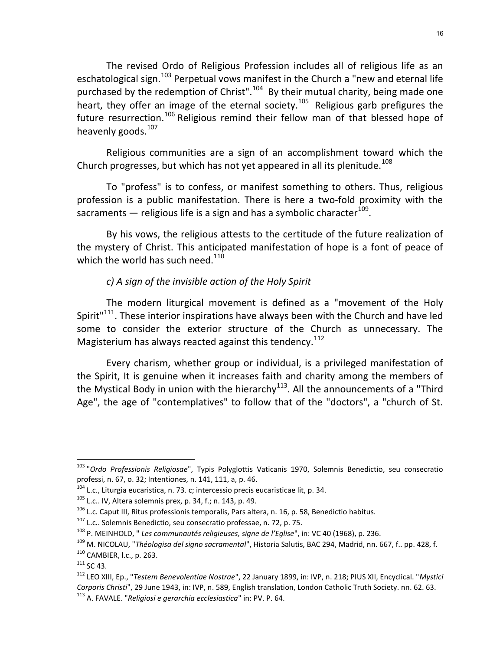The revised Ordo of Religious Profession includes all of religious life as an eschatological sign.<sup>103</sup> Perpetual vows manifest in the Church a "new and eternal life purchased by the redemption of Christ".<sup>104</sup> By their mutual charity, being made one heart, they offer an image of the eternal society.<sup>105</sup> Religious garb prefigures the future resurrection.<sup>106</sup> Religious remind their fellow man of that blessed hope of heavenly goods.<sup>107</sup>

Religious communities are a sign of an accomplishment toward which the Church progresses, but which has not yet appeared in all its plenitude.<sup>108</sup>

To "profess" is to confess, or manifest something to others. Thus, religious profession is a public manifestation. There is here a two-fold proximity with the sacraments — religious life is a sign and has a symbolic character $^{109}$ .

By his vows, the religious attests to the certitude of the future realization of the mystery of Christ. This anticipated manifestation of hope is a font of peace of which the world has such need. $110$ 

# c) A sign of the invisible action of the Holy Spirit

The modern liturgical movement is defined as a "movement of the Holy Spirit<sup>"111</sup>. These interior inspirations have always been with the Church and have led some to consider the exterior structure of the Church as unnecessary. The Magisterium has always reacted against this tendency.  $112$ 

Every charism, whether group or individual, is a privileged manifestation of the Spirit, It is genuine when it increases faith and charity among the members of the Mystical Body in union with the hierarchy<sup>113</sup>. All the announcements of a "Third Age", the age of "contemplatives" to follow that of the "doctors", a "church of St.

<sup>&</sup>lt;sup>103</sup> "Ordo Professionis Religiosae", Typis Polyglottis Vaticanis 1970, Solemnis Benedictio, seu consecratio professi, n. 67, o. 32; Intentiones, n. 141, 111, a, p. 46.

 $104$  L.c., Liturgia eucaristica, n. 73. c; intercessio precis eucaristicae lit, p. 34.

 $105$  L.c.. IV, Altera solemnis prex, p. 34, f.; n. 143, p. 49.

 $106$  L.c. Caput III, Ritus professionis temporalis, Pars altera, n. 16, p. 58, Benedictio habitus.

<sup>107</sup> L.c.. Solemnis Benedictio, seu consecratio professae, n. 72, p. 75.

<sup>&</sup>lt;sup>108</sup> P. MEINHOLD, " Les communautés religieuses, signe de l'Eglise", in: VC 40 (1968), p. 236.

<sup>&</sup>lt;sup>109</sup> M. NICOLAU, "Théologisa del signo sacramental", Historia Salutis, BAC 294, Madrid, nn. 667, f.. pp. 428, f.

<sup>110</sup> CAMBIER, l.c., p. 263.

 $111$  SC 43.

<sup>&</sup>lt;sup>112</sup> LEO XIII, Ep., "*Testem Benevolentiae Nostrae*", 22 January 1899, in: IVP, n. 218; PIUS XII, Encyclical. "Mystici Corporis Christi", 29 June 1943, in: IVP, n. 589, English translation, London Catholic Truth Society. nn. 62. 63.  $113$  A. FAVALE. "Religiosi e gerarchia ecclesiastica" in: PV. P. 64.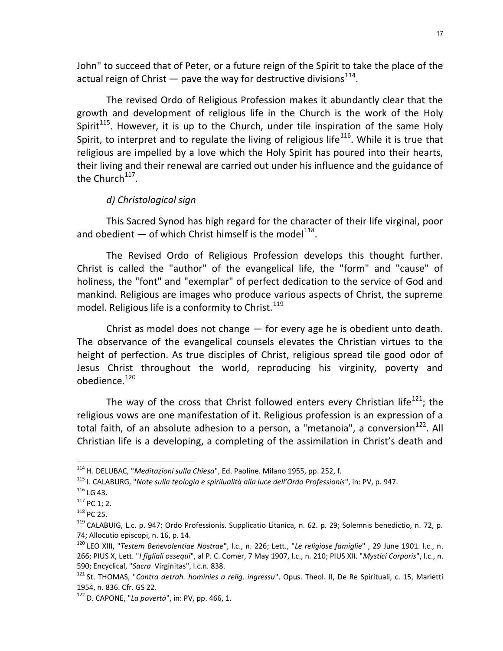John" to succeed that of Peter, or a future reign of the Spirit to take the place of the actual reign of Christ  $-$  pave the way for destructive divisions<sup>114</sup>.

The revised Ordo of Religious Profession makes it abundantly clear that the growth and development of religious life in the Church is the work of the Holy Spirit<sup>115</sup>. However, it is up to the Church, under tile inspiration of the same Holy Spirit, to interpret and to regulate the living of religious life<sup>116</sup>. While it is true that religious are impelled by a love which the Holy Spirit has poured into their hearts, their living and their renewal are carried out under his influence and the guidance of the Church<sup>117</sup>.

### d) Christological sign

This Sacred Synod has high regard for the character of their life virginal, poor and obedient  $-$  of which Christ himself is the model<sup>118</sup>.

The Revised Ordo of Religious Profession develops this thought further. Christ is called the "author" of the evangelical life, the "form" and "cause" of holiness, the "font" and "exemplar" of perfect dedication to the service of God and mankind. Religious are images who produce various aspects of Christ, the supreme model. Religious life is a conformity to Christ.  $119$ 

Christ as model does not change — for every age he is obedient unto death. The observance of the evangelical counsels elevates the Christian virtues to the height of perfection. As true disciples of Christ, religious spread tile good odor of Jesus Christ throughout the world, reproducing his virginity, poverty and obedience.<sup>120</sup>

The way of the cross that Christ followed enters every Christian life<sup>121</sup>; the religious vows are one manifestation of it. Religious profession is an expression of a total faith, of an absolute adhesion to a person, a "metanoia", a conversion $^{122}$ . All Christian life is a developing, a completing of the assimilation in Christ's death and

<sup>&</sup>lt;sup>114</sup> H. DELUBAC, "Meditazioni sulla Chiesa", Ed. Paoline. Milano 1955, pp. 252, f.

<sup>&</sup>lt;sup>115</sup> I. CALABURG, "Note sulla teologia e spirilualità alla luce dell'Ordo Professionis", in: PV, p. 947.

<sup>116</sup> LG 43.

 $117$  PC 1; 2.

<sup>118</sup> PC 25.

<sup>&</sup>lt;sup>119</sup> CALABUIG, L.c. p. 947; Ordo Professionis. Supplicatio Litanica, n. 62. p. 29; Solemnis benedictio, n. 72, p. 74; Allocutio episcopi, n. 16, p. 14.

<sup>&</sup>lt;sup>120</sup> LEO XIII, "Testem Benevolentiae Nostrae", l.c., n. 226; Lett., "Le religiose famiglie", 29 June 1901. l.c., n. 266; PIUS X, Lett. "I figliali ossequi", al P. C. Comer, 7 May 1907, l.c., n. 210; PIUS XII. "Mystici Corporis", l.c., n. 590; Encyclical, "Sacra Virginitas", l.c.n. 838.

<sup>&</sup>lt;sup>121</sup> St. THOMAS, "Contra detrah. hominies a relig. ingressu". Opus. Theol. II, De Re Spirituali, c. 15, Marietti 1954, n. 836. Cfr. GS 22.

 $122$  D. CAPONE, "La povertà", in: PV, pp. 466, 1.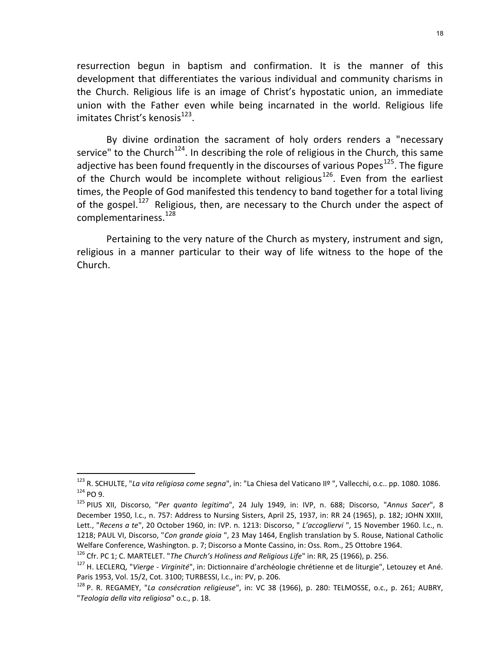resurrection begun in baptism and confirmation. It is the manner of this development that differentiates the various individual and community charisms in the Church. Religious life is an image of Christ's hypostatic union, an immediate union with the Father even while being incarnated in the world. Religious life imitates Christ's kenosis<sup>123</sup>.

By divine ordination the sacrament of holy orders renders a "necessary service" to the Church<sup>124</sup>. In describing the role of religious in the Church, this same adjective has been found frequently in the discourses of various Popes<sup>125</sup>. The figure of the Church would be incomplete without religious<sup>126</sup>. Even from the earliest times, the People of God manifested this tendency to band together for a total living of the gospel.<sup>127</sup> Religious, then, are necessary to the Church under the aspect of complementariness.<sup>128</sup>

Pertaining to the very nature of the Church as mystery, instrument and sign, religious in a manner particular to their way of life witness to the hope of the Church.

<sup>123</sup> R. SCHULTE, "La vita religiosa come segna", in: "La Chiesa del Vaticano IIº ", Vallecchi, o.c.. pp. 1080. 1086. <sup>124</sup> PO 9.

<sup>&</sup>lt;sup>125</sup> PIUS XII, Discorso, "Per quanto legitima", 24 July 1949, in: IVP, n. 688; Discorso, "Annus Sacer", 8 December 1950, l.c., n. 757: Address to Nursing Sisters, April 25, 1937, in: RR 24 (1965), p. 182; JOHN XXIII, Lett., "Recens a te", 20 October 1960, in: IVP. n. 1213: Discorso, " L'accogliervi ", 15 November 1960. l.c., n. 1218; PAUL VI, Discorso, "Con grande gioia ", 23 May 1464, English translation by S. Rouse, National Catholic Welfare Conference, Washington. p. 7; Discorso a Monte Cassino, in: Oss. Rom., 25 Ottobre 1964.

<sup>&</sup>lt;sup>126</sup> Cfr. PC 1; C. MARTELET. "The Church's Holiness and Religious Life" in: RR, 25 (1966), p. 256.

<sup>&</sup>lt;sup>127</sup> H. LECLERQ, "*Vierge - Virginité*", in: Dictionnaire d'archéologie chrétienne et de liturgie", Letouzey et Ané. Paris 1953, Vol. 15/2, Cot. 3100; TURBESSI, l.c., in: PV, p. 206.

<sup>&</sup>lt;sup>128</sup> P. R. REGAMEY, "La consécration religieuse", in: VC 38 (1966), p. 280: TELMOSSE, o.c., p. 261; AUBRY, "Teologia della vita religiosa" o.c., p. 18.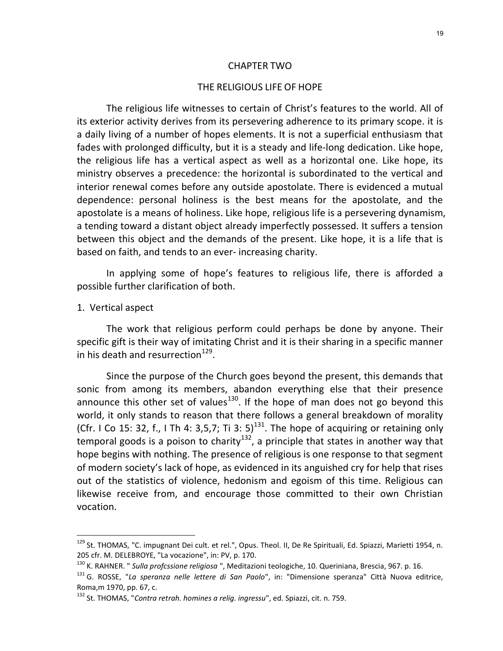#### CHAPTER TWO

#### THE RELIGIOUS LIFE OF HOPE

The religious life witnesses to certain of Christ's features to the world. All of its exterior activity derives from its persevering adherence to its primary scope. it is a daily living of a number of hopes elements. It is not a superficial enthusiasm that fades with prolonged difficulty, but it is a steady and life-long dedication. Like hope, the religious life has a vertical aspect as well as a horizontal one. Like hope, its ministry observes a precedence: the horizontal is subordinated to the vertical and interior renewal comes before any outside apostolate. There is evidenced a mutual dependence: personal holiness is the best means for the apostolate, and the apostolate is a means of holiness. Like hope, religious life is a persevering dynamism, a tending toward a distant object already imperfectly possessed. It suffers a tension between this object and the demands of the present. Like hope, it is a life that is based on faith, and tends to an ever- increasing charity.

In applying some of hope's features to religious life, there is afforded a possible further clarification of both.

#### 1. Vertical aspect

-

The work that religious perform could perhaps be done by anyone. Their specific gift is their way of imitating Christ and it is their sharing in a specific manner in his death and resurrection<sup>129</sup>.

Since the purpose of the Church goes beyond the present, this demands that sonic from among its members, abandon everything else that their presence announce this other set of values<sup>130</sup>. If the hope of man does not go beyond this world, it only stands to reason that there follows a general breakdown of morality (Cfr. I Co 15: 32, f., I Th 4: 3,5,7; Ti 3:  $5$ )<sup>131</sup>. The hope of acquiring or retaining only temporal goods is a poison to charity<sup>132</sup>, a principle that states in another way that hope begins with nothing. The presence of religious is one response to that segment of modern society's lack of hope, as evidenced in its anguished cry for help that rises out of the statistics of violence, hedonism and egoism of this time. Religious can likewise receive from, and encourage those committed to their own Christian vocation.

<sup>&</sup>lt;sup>129</sup> St. THOMAS, "C. impugnant Dei cult. et rel.", Opus. Theol. II, De Re Spirituali, Ed. Spiazzi, Marietti 1954, n. 205 cfr. M. DELEBROYE, "La vocazione", in: PV, p. 170.

<sup>&</sup>lt;sup>130</sup> K. RAHNER. " Sulla profcssione religiosa ", Meditazioni teologiche, 10. Queriniana, Brescia, 967. p. 16.

<sup>&</sup>lt;sup>131</sup> G. ROSSE, "La speranza nelle lettere di San Paolo", in: "Dimensione speranza" Città Nuova editrice, Roma,m 1970, pp. 67, c.

 $132$  St. THOMAS, "Contra retrah. homines a relig. ingressu", ed. Spiazzi, cit. n. 759.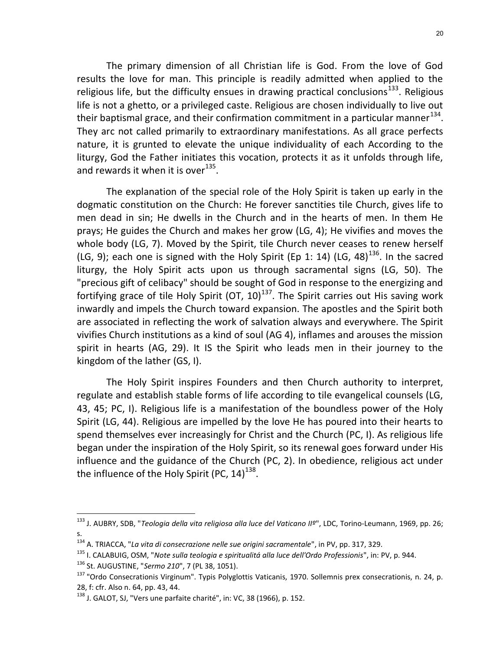The primary dimension of all Christian life is God. From the love of God results the love for man. This principle is readily admitted when applied to the religious life, but the difficulty ensues in drawing practical conclusions<sup>133</sup>. Religious life is not a ghetto, or a privileged caste. Religious are chosen individually to live out their baptismal grace, and their confirmation commitment in a particular manner $^{134}$ . They arc not called primarily to extraordinary manifestations. As all grace perfects nature, it is grunted to elevate the unique individuality of each According to the liturgy, God the Father initiates this vocation, protects it as it unfolds through life, and rewards it when it is over<sup>135</sup>.

The explanation of the special role of the Holy Spirit is taken up early in the dogmatic constitution on the Church: He forever sanctities tile Church, gives life to men dead in sin; He dwells in the Church and in the hearts of men. In them He prays; He guides the Church and makes her grow (LG, 4); He vivifies and moves the whole body (LG, 7). Moved by the Spirit, tile Church never ceases to renew herself (LG, 9); each one is signed with the Holy Spirit (Ep 1: 14) (LG, 48)<sup>136</sup>. In the sacred liturgy, the Holy Spirit acts upon us through sacramental signs (LG, 50). The "precious gift of celibacy" should be sought of God in response to the energizing and fortifying grace of tile Holy Spirit (OT,  $10)^{137}$ . The Spirit carries out His saving work inwardly and impels the Church toward expansion. The apostles and the Spirit both are associated in reflecting the work of salvation always and everywhere. The Spirit vivifies Church institutions as a kind of soul (AG 4), inflames and arouses the mission spirit in hearts (AG, 29). It IS the Spirit who leads men in their journey to the kingdom of the lather (GS, I).

The Holy Spirit inspires Founders and then Church authority to interpret, regulate and establish stable forms of life according to tile evangelical counsels (LG, 43, 45; PC, I). Religious life is a manifestation of the boundless power of the Holy Spirit (LG, 44). Religious are impelled by the love He has poured into their hearts to spend themselves ever increasingly for Christ and the Church (PC, I). As religious life began under the inspiration of the Holy Spirit, so its renewal goes forward under His influence and the guidance of the Church (PC, 2). In obedience, religious act under the influence of the Holy Spirit (PC, 14) $^{138}$ .

<sup>&</sup>lt;sup>133</sup> J. AUBRY, SDB, "*Teologia della vita religiosa alla luce del Vaticano IIº*", LDC, Torino-Leumann, 1969, pp. 26; s.

<sup>&</sup>lt;sup>134</sup> A. TRIACCA, "La vita di consecrazione nelle sue origini sacramentale", in PV, pp. 317, 329.

<sup>&</sup>lt;sup>135</sup> I. CALABUIG, OSM, "Note sulla teologia e spiritualitá alla luce dell'Ordo Professionis", in: PV, p. 944. 136 St. AUGUSTINE, "Sermo 210", 7 (PL 38, 1051).

<sup>&</sup>lt;sup>137</sup> "Ordo Consecrationis Virginum". Typis Polyglottis Vaticanis, 1970. Sollemnis prex consecrationis, n. 24, p. 28, f: cfr. Also n. 64, pp. 43, 44.

 $138$  J. GALOT, SJ, "Vers une parfaite charité", in: VC, 38 (1966), p. 152.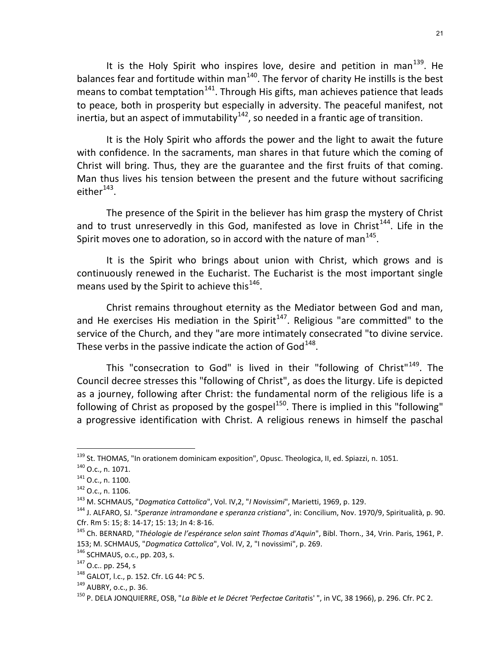It is the Holy Spirit who inspires love, desire and petition in man<sup>139</sup>. He balances fear and fortitude within man $140$ . The fervor of charity He instills is the best means to combat temptation<sup>141</sup>. Through His gifts, man achieves patience that leads to peace, both in prosperity but especially in adversity. The peaceful manifest, not inertia, but an aspect of immutability<sup>142</sup>, so needed in a frantic age of transition.

It is the Holy Spirit who affords the power and the light to await the future with confidence. In the sacraments, man shares in that future which the coming of Christ will bring. Thus, they are the guarantee and the first fruits of that coming. Man thus lives his tension between the present and the future without sacrificing either $^{143}$ .

The presence of the Spirit in the believer has him grasp the mystery of Christ and to trust unreservedly in this God, manifested as love in Christ<sup>144</sup>. Life in the Spirit moves one to adoration, so in accord with the nature of man $^{145}$ .

It is the Spirit who brings about union with Christ, which grows and is continuously renewed in the Eucharist. The Eucharist is the most important single means used by the Spirit to achieve this<sup>146</sup>.

Christ remains throughout eternity as the Mediator between God and man, and He exercises His mediation in the Spirit<sup>147</sup>. Religious "are committed" to the service of the Church, and they "are more intimately consecrated "to divine service. These verbs in the passive indicate the action of God<sup>148</sup>.

This "consecration to God" is lived in their "following of Christ"<sup>149</sup>. The Council decree stresses this "following of Christ", as does the liturgy. Life is depicted as a journey, following after Christ: the fundamental norm of the religious life is a following of Christ as proposed by the gospel $150$ . There is implied in this "following" a progressive identification with Christ. A religious renews in himself the paschal

<sup>&</sup>lt;sup>139</sup> St. THOMAS, "In orationem dominicam exposition", Opusc. Theologica, II, ed. Spiazzi, n. 1051.

<sup>140</sup> O.c., n. 1071.

<sup>141</sup> O.c., n. 1100.

<sup>142</sup> O.c., n. 1106.

<sup>&</sup>lt;sup>143</sup> M. SCHMAUS, "Dogmatica Cattolica", Vol. IV,2, "I Novissimi", Marietti, 1969, p. 129.

<sup>&</sup>lt;sup>144</sup> J. ALFARO, SJ. "Speranze intramondane e speranza cristiana", in: Concilium, Nov. 1970/9, Spiritualità, p. 90. Cfr. Rm 5: 15; 8: 14-17; 15: 13; Jn 4: 8-16.

<sup>&</sup>lt;sup>145</sup> Ch. BERNARD, "Théologie de l'espérance selon saint Thomas d'Aquin", Bibl. Thorn., 34, Vrin. Paris, 1961, P. 153; M. SCHMAUS, "Dogmatica Cattolica", Vol. IV, 2, "I novissimi", p. 269.

<sup>146</sup> SCHMAUS, o.c., pp. 203, s.

<sup>147</sup> O.c.. pp. 254, s

<sup>148</sup> GALOT, I.c., p. 152. Cfr. LG 44: PC 5.

<sup>149</sup> AUBRY, o.c., p. 36.

<sup>&</sup>lt;sup>150</sup> P. DELA JONQUIERRE, OSB, "La Bible et le Décret 'Perfectae Caritatis' ", in VC, 38 1966), p. 296. Cfr. PC 2.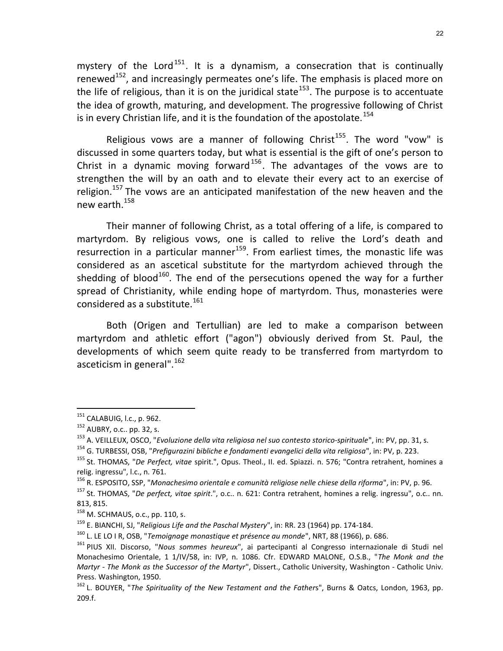mystery of the Lord<sup>151</sup>. It is a dynamism, a consecration that is continually renewed<sup>152</sup>, and increasingly permeates one's life. The emphasis is placed more on the life of religious, than it is on the juridical state<sup>153</sup>. The purpose is to accentuate the idea of growth, maturing, and development. The progressive following of Christ is in every Christian life, and it is the foundation of the apostolate.<sup>154</sup>

Religious vows are a manner of following Christ<sup>155</sup>. The word "vow" is discussed in some quarters today, but what is essential is the gift of one's person to Christ in a dynamic moving forward<sup>156</sup>. The advantages of the vows are to strengthen the will by an oath and to elevate their every act to an exercise of religion.<sup>157</sup> The vows are an anticipated manifestation of the new heaven and the new earth.<sup>158</sup>

Their manner of following Christ, as a total offering of a life, is compared to martyrdom. By religious vows, one is called to relive the Lord's death and resurrection in a particular manner $159$ . From earliest times, the monastic life was considered as an ascetical substitute for the martyrdom achieved through the shedding of blood<sup>160</sup>. The end of the persecutions opened the way for a further spread of Christianity, while ending hope of martyrdom. Thus, monasteries were considered as a substitute. $161$ 

Both (Origen and Tertullian) are led to make a comparison between martyrdom and athletic effort ("agon") obviously derived from St. Paul, the developments of which seem quite ready to be transferred from martyrdom to asceticism in general".<sup>162</sup>

<sup>&</sup>lt;sup>151</sup> CALABUIG, l.c., p. 962.

<sup>152</sup> AUBRY, o.c.. pp. 32, s.

<sup>&</sup>lt;sup>153</sup> A. VEILLEUX, OSCO, "Evoluzione della vita religiosa nel suo contesto storico-spirituale", in: PV, pp. 31, s.

<sup>&</sup>lt;sup>154</sup> G. TURBESSI, OSB, "Prefigurazini bibliche e fondamenti evangelici della vita religiosa", in: PV, p. 223.

<sup>&</sup>lt;sup>155</sup> St. THOMAS, "De Perfect, vitae spirit.", Opus. Theol., II. ed. Spiazzi. n. 576; "Contra retrahent, homines a relig. ingressu", l.c., n. 761.

<sup>&</sup>lt;sup>156</sup> R. ESPOSITO, SSP, "Monachesimo orientale e comunità religiose nelle chiese della riforma", in: PV, p. 96.

<sup>&</sup>lt;sup>157</sup> St. THOMAS, "De perfect, vitae spirit.", o.c.. n. 621: Contra retrahent, homines a relig. ingressu", o.c.. nn. 813, 815.

<sup>158</sup> M. SCHMAUS, o.c., pp. 110, s.

<sup>&</sup>lt;sup>159</sup> E. BIANCHI, SJ, "Religious Life and the Paschal Mystery", in: RR. 23 (1964) pp. 174-184.

 $160$  L. LE LO I R, OSB, "Temoignage monastique et présence au monde", NRT, 88 (1966), p. 686.

<sup>&</sup>lt;sup>161</sup> PIUS XII. Discorso, "Nous sommes heureux", ai partecipanti al Congresso internazionale di Studi nel Monachesimo Orientale, 1 1/IV/58, in: IVP, n. 1086. Cfr. EDWARD MALONE, O.S.B., "The Monk and the Martyr - The Monk as the Successor of the Martyr", Dissert., Catholic University, Washington - Catholic Univ. Press. Washington, 1950.

 $162$  L. BOUYER, "The Spirituality of the New Testament and the Fathers", Burns & Oatcs, London, 1963, pp. 209.f.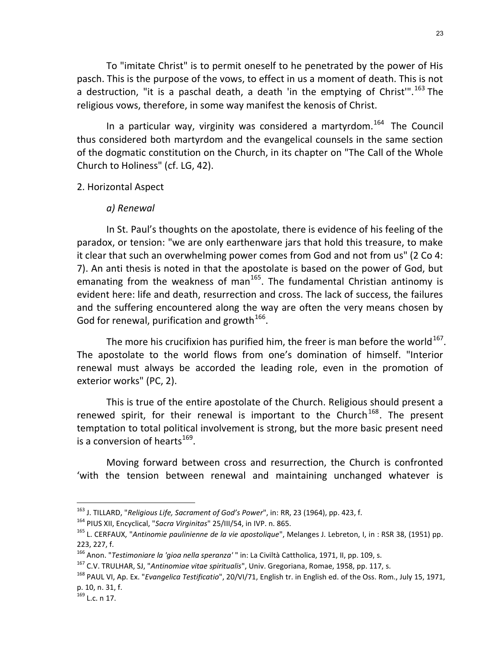To "imitate Christ" is to permit oneself to he penetrated by the power of His pasch. This is the purpose of the vows, to effect in us a moment of death. This is not a destruction, "it is a paschal death, a death 'in the emptying of Christ".<sup>163</sup> The religious vows, therefore, in some way manifest the kenosis of Christ.

In a particular way, virginity was considered a martyrdom.<sup>164</sup> The Council thus considered both martyrdom and the evangelical counsels in the same section of the dogmatic constitution on the Church, in its chapter on "The Call of the Whole Church to Holiness" (cf. LG, 42).

### 2. Horizontal Aspect

### a) Renewal

In St. Paul's thoughts on the apostolate, there is evidence of his feeling of the paradox, or tension: "we are only earthenware jars that hold this treasure, to make it clear that such an overwhelming power comes from God and not from us" (2 Co 4: 7). An anti thesis is noted in that the apostolate is based on the power of God, but  $\sum_{k=1}^{n}$  from the weakness of man<sup>165</sup>. The fundamental Christian antinomy is evident here: life and death, resurrection and cross. The lack of success, the failures and the suffering encountered along the way are often the very means chosen by God for renewal, purification and growth<sup>166</sup>.

The more his crucifixion has purified him, the freer is man before the world  $^{167}$ . The apostolate to the world flows from one's domination of himself. "Interior renewal must always be accorded the leading role, even in the promotion of exterior works" (PC, 2).

This is true of the entire apostolate of the Church. Religious should present a renewed spirit, for their renewal is important to the Church<sup>168</sup>. The present temptation to total political involvement is strong, but the more basic present need is a conversion of hearts $^{169}$ .

Moving forward between cross and resurrection, the Church is confronted 'with the tension between renewal and maintaining unchanged whatever is

<sup>&</sup>lt;sup>163</sup> J. TILLARD, "Religious Life, Sacrament of God's Power", in: RR, 23 (1964), pp. 423, f.

<sup>&</sup>lt;sup>164</sup> PIUS XII, Encyclical, "Sacra Virginitas" 25/III/54, in IVP. n. 865.

<sup>&</sup>lt;sup>165</sup> L. CERFAUX, "Antinomie paulinienne de la vie apostolique", Melanges J. Lebreton, I, in : RSR 38, (1951) pp. 223, 227, f.

<sup>&</sup>lt;sup>166</sup> Anon. "Testimoniare la 'gioa nella speranza' " in: La Civiltà Cattholica, 1971, II, pp. 109, s.

<sup>&</sup>lt;sup>167</sup> C.V. TRULHAR, SJ, "Antinomiae vitae spiritualis", Univ. Gregoriana, Romae, 1958, pp. 117, s.

<sup>&</sup>lt;sup>168</sup> PAUL VI, Ap. Ex. "*Evangelica Testificatio*", 20/VI/71, English tr. in English ed. of the Oss. Rom., July 15, 1971, p. 10, n. 31, f.

 $169$  L.c. n 17.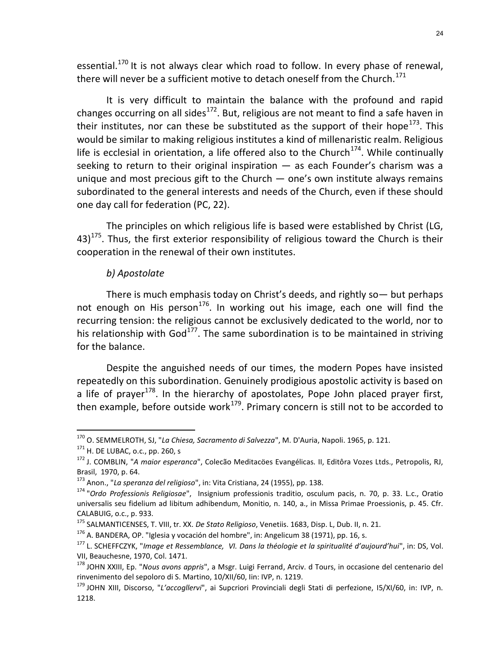essential.<sup>170</sup> It is not always clear which road to follow. In every phase of renewal, there will never be a sufficient motive to detach oneself from the Church.<sup>171</sup>

It is very difficult to maintain the balance with the profound and rapid changes occurring on all sides<sup>172</sup>. But, religious are not meant to find a safe haven in their institutes, nor can these be substituted as the support of their hope<sup>173</sup>. This would be similar to making religious institutes a kind of millenaristic realm. Religious life is ecclesial in orientation, a life offered also to the Church<sup>174</sup>. While continually seeking to return to their original inspiration — as each Founder's charism was a unique and most precious gift to the Church  $-$  one's own institute always remains subordinated to the general interests and needs of the Church, even if these should one day call for federation (PC, 22).

The principles on which religious life is based were established by Christ (LG,  $43$ )<sup>175</sup>. Thus, the first exterior responsibility of religious toward the Church is their cooperation in the renewal of their own institutes.

### b) Apostolate

There is much emphasis today on Christ's deeds, and rightly so— but perhaps not enough on His person<sup>176</sup>. In working out his image, each one will find the recurring tension: the religious cannot be exclusively dedicated to the world, nor to his relationship with God $^{177}$ . The same subordination is to be maintained in striving for the balance.

Despite the anguished needs of our times, the modern Popes have insisted repeatedly on this subordination. Genuinely prodigious apostolic activity is based on a life of prayer<sup>178</sup>. In the hierarchy of apostolates, Pope John placed prayer first, then example, before outside work<sup>179</sup>. Primary concern is still not to be accorded to

<sup>170</sup> O. SEMMELROTH, SJ, "La Chiesa, Sacramento di Salvezza", M. D'Auria, Napoli. 1965, p. 121.

 $171$  H. DE LUBAC, o.c., pp. 260, s

<sup>&</sup>lt;sup>172</sup> J. COMBLIN, "A maior esperanca", Colecão Meditacöes Evangélicas. II, Editôra Vozes Ltds., Petropolis, RJ, Brasil, 1970, p. 64.

<sup>173</sup> Anon., "La speranza del religioso", in: Vita Cristiana, 24 (1955), pp. 138.

<sup>174</sup> "Ordo Professionis Religiosae", Insignium professionis traditio, osculum pacis, n. 70, p. 33. L.c., Oratio universalis seu fidelium ad libitum adhibendum, Monitio, n. 140, a., in Missa Primae Proessionis, p. 45. Cfr. CALABUIG, o.c., p. 933.

<sup>&</sup>lt;sup>175</sup> SALMANTICENSES, T. VIII, tr. XX. De Stato Religioso, Venetiis. 1683, Disp. L, Dub. II, n. 21.

 $176$  A. BANDERA, OP. "Iglesia y vocación del hombre", in: Angelicum 38 (1971), pp. 16, s.

<sup>&</sup>lt;sup>177</sup> L. SCHEFFCZYK, "Image et Ressemblance, VI. Dans la théologie et la spiritualité d'aujourd'hui", in: DS, Vol. VII, Beauchesne, 1970, Col. 1471.

<sup>&</sup>lt;sup>178</sup> JOHN XXIII, Ep. "Nous avons appris", a Msgr. Luigi Ferrand, Arciv. d Tours, in occasione del centenario del rinvenimento del sepoloro di S. Martino, 10/XII/60, Iin: IVP, n. 1219.

<sup>&</sup>lt;sup>179</sup> JOHN XIII, Discorso, "L'accogllervi", ai Supcriori Provinciali degli Stati di perfezione, I5/XI/60, in: IVP, n. 1218.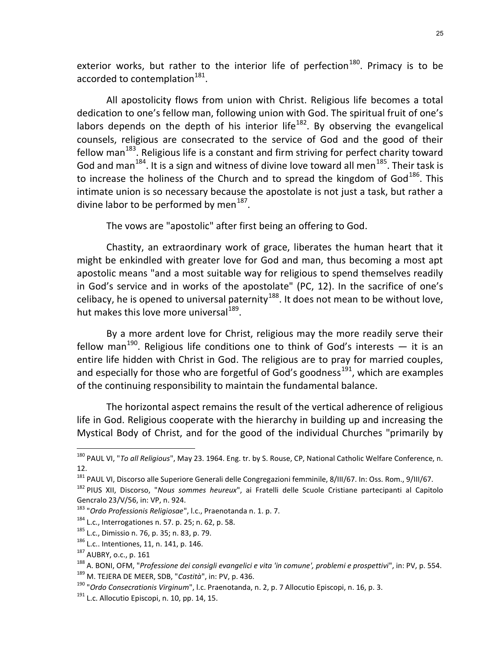exterior works, but rather to the interior life of perfection<sup>180</sup>. Primacy is to be accorded to contemplation<sup>181</sup>.

All apostolicity flows from union with Christ. Religious life becomes a total dedication to one's fellow man, following union with God. The spiritual fruit of one's labors depends on the depth of his interior life<sup>182</sup>. By observing the evangelical counsels, religious are consecrated to the service of God and the good of their fellow man $^{183}$ . Religious life is a constant and firm striving for perfect charity toward God and man<sup>184</sup>. It is a sign and witness of divine love toward all men<sup>185</sup>. Their task is to increase the holiness of the Church and to spread the kingdom of  $God^{186}$ . This intimate union is so necessary because the apostolate is not just a task, but rather a divine labor to be performed by men $^{187}$ .

The vows are "apostolic" after first being an offering to God.

Chastity, an extraordinary work of grace, liberates the human heart that it might be enkindled with greater love for God and man, thus becoming a most apt apostolic means "and a most suitable way for religious to spend themselves readily in God's service and in works of the apostolate" (PC, 12). In the sacrifice of one's celibacy, he is opened to universal paternity<sup>188</sup>. It does not mean to be without love, hut makes this love more universal<sup>189</sup>.

By a more ardent love for Christ, religious may the more readily serve their fellow man<sup>190</sup>. Religious life conditions one to think of God's interests  $-$  it is an entire life hidden with Christ in God. The religious are to pray for married couples, and especially for those who are forgetful of God's goodness<sup>191</sup>, which are examples of the continuing responsibility to maintain the fundamental balance.

The horizontal aspect remains the result of the vertical adherence of religious life in God. Religious cooperate with the hierarchy in building up and increasing the Mystical Body of Christ, and for the good of the individual Churches "primarily by

<sup>&</sup>lt;sup>180</sup> PAUL VI, "*To all Religious*", May 23. 1964. Eng. tr. by S. Rouse, CP, National Catholic Welfare Conference, n. 12.

<sup>&</sup>lt;sup>181</sup> PAUL VI, Discorso alle Superiore Generali delle Congregazioni femminile, 8/III/67. In: Oss. Rom., 9/III/67.

<sup>182</sup> PIUS XII, Discorso, "Nous sommes heureux", ai Fratelli delle Scuole Cristiane partecipanti al Capitolo Gencralo 23/V/56, in: VP, n. 924.

<sup>&</sup>lt;sup>183</sup> "Ordo Professionis Religiosae", l.c., Praenotanda n. 1. p. 7.

<sup>184</sup> L.c., Interrogationes n. 57. p. 25; n. 62, p. 58.

<sup>185</sup> L.c., Dimissio n. 76, p. 35; n. 83, p. 79.

<sup>186</sup> L.c.. Intentiones, 11, n. 141, p. 146.

<sup>187</sup> AUBRY, o.c., p. 161

<sup>&</sup>lt;sup>188</sup> A. BONI, OFM, "Professione dei consigli evangelici e vita 'in comune', problemi e prospettivi", in: PV, p. 554. 189 M. TEJERA DE MEER, SDB, "Castità", in: PV, p. 436.

<sup>&</sup>lt;sup>190</sup> "Ordo Consecrationis Virginum", l.c. Praenotanda, n. 2, p. 7 Allocutio Episcopi, n. 16, p. 3.

 $191$  L.c. Allocutio Episcopi, n. 10, pp. 14, 15.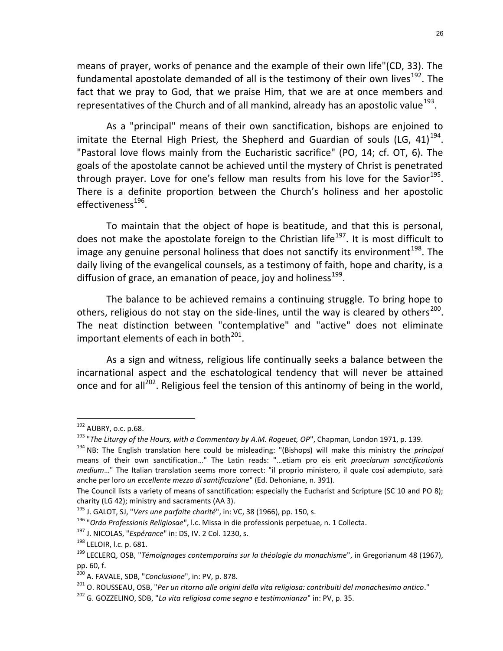means of prayer, works of penance and the example of their own life"(CD, 33). The fundamental apostolate demanded of all is the testimony of their own lives<sup>192</sup>. The fact that we pray to God, that we praise Him, that we are at once members and representatives of the Church and of all mankind, already has an apostolic value<sup>193</sup>.

As a "principal" means of their own sanctification, bishops are enjoined to imitate the Eternal High Priest, the Shepherd and Guardian of souls (LG, 41)<sup>194</sup>. "Pastoral love flows mainly from the Eucharistic sacrifice" (PO, 14; cf. OT, 6). The goals of the apostolate cannot be achieved until the mystery of Christ is penetrated through prayer. Love for one's fellow man results from his love for the Savior<sup>195</sup>. There is a definite proportion between the Church's holiness and her apostolic effectiveness<sup>196</sup>.

To maintain that the object of hope is beatitude, and that this is personal, does not make the apostolate foreign to the Christian life<sup>197</sup>. It is most difficult to image any genuine personal holiness that does not sanctify its environment<sup>198</sup>. The daily living of the evangelical counsels, as a testimony of faith, hope and charity, is a diffusion of grace, an emanation of peace, joy and holiness<sup>199</sup>.

The balance to be achieved remains a continuing struggle. To bring hope to others, religious do not stay on the side-lines, until the way is cleared by others<sup>200</sup>. The neat distinction between "contemplative" and "active" does not eliminate important elements of each in both $^{201}$ .

As a sign and witness, religious life continually seeks a balance between the incarnational aspect and the eschatological tendency that will never be attained once and for all<sup>202</sup>. Religious feel the tension of this antinomy of being in the world,

<sup>192</sup> AUBRY, o.c. p.68.

<sup>&</sup>lt;sup>193</sup> "The Liturgy of the Hours, with a Commentary by A.M. Rogeuet, OP", Chapman, London 1971, p. 139.

 $194$  NB: The English translation here could be misleading: "(Bishops) will make this ministry the *principal* means of their own sanctification…" The Latin reads: "…etiam pro eis erit praeclarum sanctificationis medium…" The Italian translation seems more correct: "il proprio ministero, il quale cosí adempiuto, sarà anche per loro un eccellente mezzo di santificazione" (Ed. Dehoniane, n. 391).

The Council lists a variety of means of sanctification: especially the Eucharist and Scripture (SC 10 and PO 8); charity (LG 42); ministry and sacraments (AA 3).

 $195$  J. GALOT, SJ, "Vers une parfaite charité", in: VC, 38 (1966), pp. 150, s.

<sup>&</sup>lt;sup>196</sup> "Ordo Professionis Religiosae", l.c. Missa in die professionis perpetuae, n. 1 Collecta.

<sup>&</sup>lt;sup>197</sup> J. NICOLAS, "Espérance" in: DS, IV. 2 Col. 1230, s.

<sup>198</sup> LELOIR, l.c. p. 681.

<sup>&</sup>lt;sup>199</sup> LECLERQ, OSB, "Témoignages contemporains sur la théologie du monachisme", in Gregorianum 48 (1967), pp. 60, f.

<sup>...&</sup>lt;br><sup>200</sup> A. FAVALE, SDB, "*Conclusione*", in: PV, p. 878.

<sup>&</sup>lt;sup>201</sup> O. ROUSSEAU, OSB, "Per un ritorno alle origini della vita religiosa: contribuiti del monachesimo antico."

 $202$  G. GOZZELINO, SDB, "La vita religiosa come segno e testimonianza" in: PV, p. 35.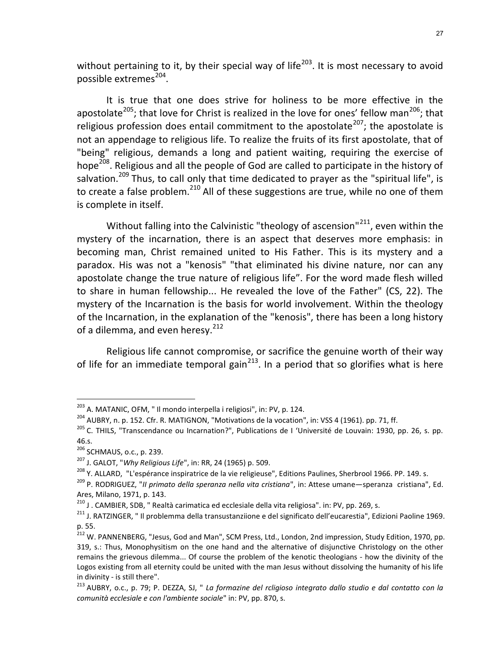without pertaining to it, by their special way of life<sup>203</sup>. It is most necessary to avoid possible extremes<sup>204</sup>.

It is true that one does strive for holiness to be more effective in the apostolate<sup>205</sup>; that love for Christ is realized in the love for ones' fellow man<sup>206</sup>; that religious profession does entail commitment to the apostolate<sup>207</sup>; the apostolate is not an appendage to religious life. To realize the fruits of its first apostolate, that of "being" religious, demands a long and patient waiting, requiring the exercise of hope<sup>208</sup>. Religious and all the people of God are called to participate in the history of salvation.<sup>209</sup> Thus, to call only that time dedicated to prayer as the "spiritual life", is to create a false problem.<sup>210</sup> All of these suggestions are true, while no one of them is complete in itself.

Without falling into the Calvinistic "theology of ascension"<sup>211</sup>, even within the mystery of the incarnation, there is an aspect that deserves more emphasis: in becoming man, Christ remained united to His Father. This is its mystery and a paradox. His was not a "kenosis" "that eliminated his divine nature, nor can any apostolate change the true nature of religious life". For the word made flesh willed to share in human fellowship... He revealed the love of the Father" (CS, 22). The mystery of the Incarnation is the basis for world involvement. Within the theology of the Incarnation, in the explanation of the "kenosis", there has been a long history of a dilemma, and even heresy.<sup>212</sup>

Religious life cannot compromise, or sacrifice the genuine worth of their way of life for an immediate temporal gain<sup>213</sup>. In a period that so glorifies what is here

<sup>&</sup>lt;sup>203</sup> A. MATANIC, OFM, " Il mondo interpella i religiosi", in: PV, p. 124.

 $204$  AUBRY, n. p. 152. Cfr. R. MATIGNON, "Motivations de la vocation", in: VSS 4 (1961). pp. 71, ff.

<sup>&</sup>lt;sup>205</sup> C. THILS, "Transcendance ou Incarnation?", Publications de I 'Université de Louvain: 1930, pp. 26, s. pp. 46.s.

<sup>206</sup> SCHMAUS, o.c., p. 239.

 $207$  J. GALOT, "Why Religious Life", in: RR, 24 (1965) p. 509.

<sup>&</sup>lt;sup>208</sup> Y. ALLARD, "L'espérance inspiratrice de la vie religieuse", Editions Paulines, Sherbrool 1966. PP. 149. s.

<sup>&</sup>lt;sup>209</sup> P. RODRIGUEZ, "Il primato della speranza nella vita cristiana", in: Attese umane—speranza cristiana", Ed. Ares, Milano, 1971, p. 143.

<sup>&</sup>lt;sup>210</sup> J . CAMBIER, SDB, " Realtà carimatica ed ecclesiale della vita religiosa". in: PV, pp. 269, s.

<sup>211</sup> J. RATZINGER, " Il problemma della transustanziione e del significato dell'eucarestia", Edizioni Paoline 1969. p. 55.

<sup>&</sup>lt;sup>212</sup> W. PANNENBERG, "Jesus, God and Man", SCM Press, Ltd., London, 2nd impression, Study Edition, 1970, pp. 319, s.: Thus, Monophysitism on the one hand and the alternative of disjunctive Christology on the other remains the grievous dilemma... Of course the problem of the kenotic theologians - how the divinity of the Logos existing from all eternity could be united with the man Jesus without dissolving the humanity of his life in divinity - is still there".

<sup>213</sup> AUBRY, o.c., p. 79; P. DEZZA, SJ, " La formazine del rcligioso integrato dallo studio e dal contatto con la comunità ecclesiale e con l'ambiente sociale" in: PV, pp. 870, s.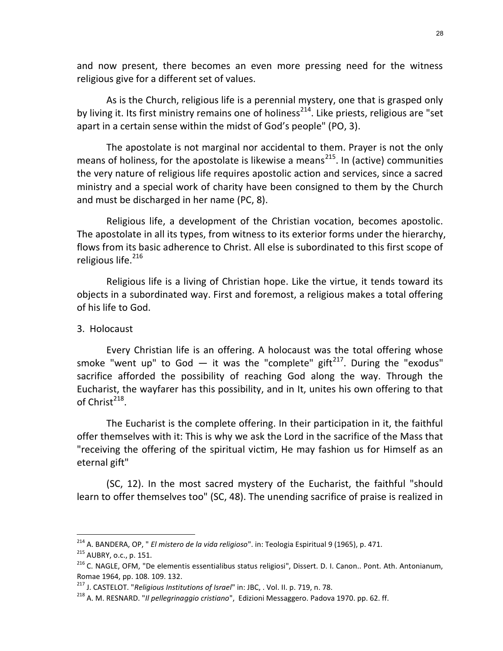and now present, there becomes an even more pressing need for the witness religious give for a different set of values.

As is the Church, religious life is a perennial mystery, one that is grasped only by living it. Its first ministry remains one of holiness<sup>214</sup>. Like priests, religious are "set apart in a certain sense within the midst of God's people" (PO, 3).

The apostolate is not marginal nor accidental to them. Prayer is not the only means of holiness, for the apostolate is likewise a means<sup>215</sup>. In (active) communities the very nature of religious life requires apostolic action and services, since a sacred ministry and a special work of charity have been consigned to them by the Church and must be discharged in her name (PC, 8).

Religious life, a development of the Christian vocation, becomes apostolic. The apostolate in all its types, from witness to its exterior forms under the hierarchy, flows from its basic adherence to Christ. All else is subordinated to this first scope of religious life.<sup>216</sup>

Religious life is a living of Christian hope. Like the virtue, it tends toward its objects in a subordinated way. First and foremost, a religious makes a total offering of his life to God.

### 3. Holocaust

-

Every Christian life is an offering. A holocaust was the total offering whose smoke "went up" to God  $-$  it was the "complete" gift<sup>217</sup>. During the "exodus" sacrifice afforded the possibility of reaching God along the way. Through the Eucharist, the wayfarer has this possibility, and in It, unites his own offering to that of Christ $^{218}$ .

The Eucharist is the complete offering. In their participation in it, the faithful offer themselves with it: This is why we ask the Lord in the sacrifice of the Mass that "receiving the offering of the spiritual victim, He may fashion us for Himself as an eternal gift"

(SC, 12). In the most sacred mystery of the Eucharist, the faithful "should learn to offer themselves too" (SC, 48). The unending sacrifice of praise is realized in

<sup>&</sup>lt;sup>214</sup> A. BANDERA, OP, " *El mistero de la vida religioso*". in: Teologia Espiritual 9 (1965), p. 471. <sup>215</sup> AUBRY, o.c., p. 151.

<sup>&</sup>lt;sup>216</sup> C. NAGLE, OFM, "De elementis essentialibus status religiosi", Dissert. D. I. Canon.. Pont. Ath. Antonianum, Romae 1964, pp. 108. 109. 132.

 $2^{217}$  J. CASTELOT. "Religious Institutions of Israel" in: JBC, . Vol. II. p. 719, n. 78.

<sup>&</sup>lt;sup>218</sup> A. M. RESNARD. "Il pellegrinaggio cristiano", Edizioni Messaggero. Padova 1970. pp. 62. ff.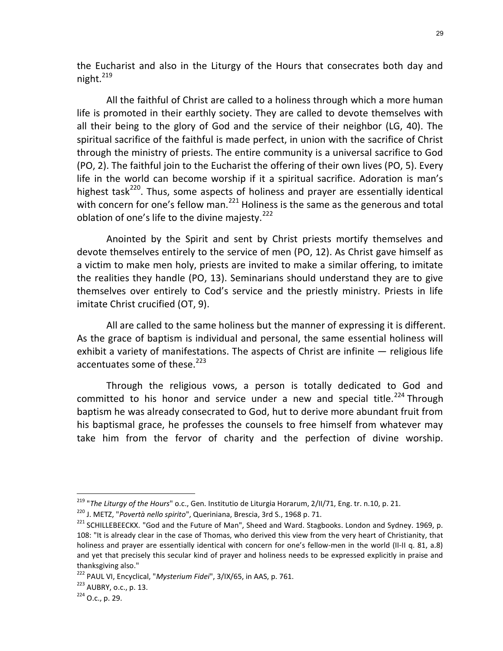the Eucharist and also in the Liturgy of the Hours that consecrates both day and night. $^{219}$ 

All the faithful of Christ are called to a holiness through which a more human life is promoted in their earthly society. They are called to devote themselves with all their being to the glory of God and the service of their neighbor (LG, 40). The spiritual sacrifice of the faithful is made perfect, in union with the sacrifice of Christ through the ministry of priests. The entire community is a universal sacrifice to God (PO, 2). The faithful join to the Eucharist the offering of their own lives (PO, 5). Every life in the world can become worship if it a spiritual sacrifice. Adoration is man's highest task<sup>220</sup>. Thus, some aspects of holiness and prayer are essentially identical with concern for one's fellow man.<sup>221</sup> Holiness is the same as the generous and total oblation of one's life to the divine majesty.<sup>222</sup>

Anointed by the Spirit and sent by Christ priests mortify themselves and devote themselves entirely to the service of men (PO, 12). As Christ gave himself as a victim to make men holy, priests are invited to make a similar offering, to imitate the realities they handle (PO, 13). Seminarians should understand they are to give themselves over entirely to Cod's service and the priestly ministry. Priests in life imitate Christ crucified (OT, 9).

All are called to the same holiness but the manner of expressing it is different. As the grace of baptism is individual and personal, the same essential holiness will exhibit a variety of manifestations. The aspects of Christ are infinite — religious life accentuates some of these.<sup>223</sup>

Through the religious vows, a person is totally dedicated to God and committed to his honor and service under a new and special title.<sup>224</sup> Through baptism he was already consecrated to God, hut to derive more abundant fruit from his baptismal grace, he professes the counsels to free himself from whatever may take him from the fervor of charity and the perfection of divine worship.

<sup>&</sup>lt;sup>219</sup> "The Liturgy of the Hours" o.c., Gen. Institutio de Liturgia Horarum, 2/II/71, Eng. tr. n.10, p. 21.

<sup>&</sup>lt;sup>220</sup> J. METZ, "Povertà nello spirito", Queriniana, Brescia, 3rd S., 1968 p. 71.

<sup>&</sup>lt;sup>221</sup> SCHILLEBEECKX. "God and the Future of Man", Sheed and Ward. Stagbooks. London and Sydney. 1969, p. 108: "It is already clear in the case of Thomas, who derived this view from the very heart of Christianity, that holiness and prayer are essentially identical with concern for one's fellow-men in the world (II-II q. 81, a.8) and yet that precisely this secular kind of prayer and holiness needs to be expressed explicitly in praise and thanksgiving also."

<sup>&</sup>lt;sup>222</sup> PAUL VI, Encyclical, "Mysterium Fidei", 3/IX/65, in AAS, p. 761.

<sup>223</sup> AUBRY, o.c., p. 13.

 $224$  O.c., p. 29.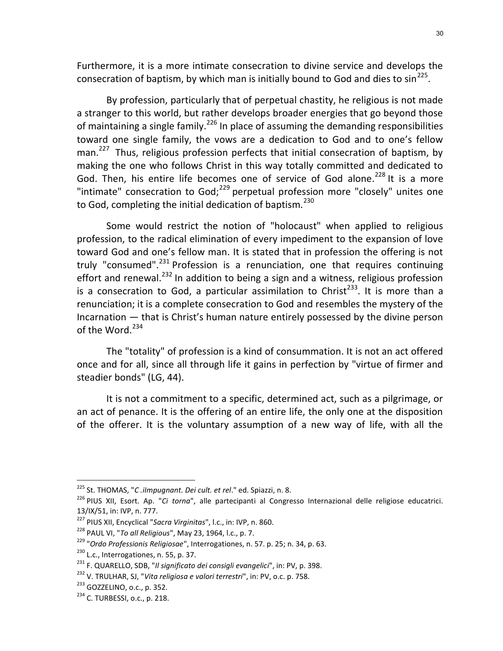Furthermore, it is a more intimate consecration to divine service and develops the consecration of baptism, by which man is initially bound to God and dies to  $\sin^{225}$ .

By profession, particularly that of perpetual chastity, he religious is not made a stranger to this world, but rather develops broader energies that go beyond those of maintaining a single family.<sup>226</sup> In place of assuming the demanding responsibilities toward one single family, the vows are a dedication to God and to one's fellow man.<sup>227</sup> Thus, religious profession perfects that initial consecration of baptism, by making the one who follows Christ in this way totally committed and dedicated to God. Then, his entire life becomes one of service of God alone.<sup>228</sup> It is a more "intimate" consecration to  $God; <sup>229</sup>$  perpetual profession more "closely" unites one to God, completing the initial dedication of baptism. $^{230}$ 

Some would restrict the notion of "holocaust" when applied to religious profession, to the radical elimination of every impediment to the expansion of love toward God and one's fellow man. It is stated that in profession the offering is not truly "consumed". $^{231}$  Profession is a renunciation, one that requires continuing effort and renewal.<sup>232</sup> In addition to being a sign and a witness, religious profession is a consecration to God, a particular assimilation to Christ<sup>233</sup>. It is more than a renunciation; it is a complete consecration to God and resembles the mystery of the Incarnation — that is Christ's human nature entirely possessed by the divine person of the Word. $^{234}$ 

The "totality" of profession is a kind of consummation. It is not an act offered once and for all, since all through life it gains in perfection by "virtue of firmer and steadier bonds" (LG, 44).

It is not a commitment to a specific, determined act, such as a pilgrimage, or an act of penance. It is the offering of an entire life, the only one at the disposition of the offerer. It is the voluntary assumption of a new way of life, with all the

<sup>&</sup>lt;sup>225</sup> St. THOMAS, "*C .ilmpugnant. Dei cult. et rel*." ed. Spiazzi, n. 8.

<sup>&</sup>lt;sup>226</sup> PIUS XII, Esort. Ap. "Ci torna", alle partecipanti al Congresso Internazional delle religiose educatrici. 13/IX/51, in: IVP, n. 777.

<sup>&</sup>lt;sup>227</sup> PIUS XII, Encyclical "Sacra Virginitas", l.c., in: IVP, n. 860.

<sup>&</sup>lt;sup>228</sup> PAUL VI, "To all Religious", May 23, 1964, l.c., p. 7.

 $229$  "Ordo Professionis Religiosae", Interrogationes, n. 57. p. 25; n. 34, p. 63.

<sup>&</sup>lt;sup>230</sup> L.c., Interrogationes, n. 55, p. 37.

<sup>&</sup>lt;sup>231</sup> F. QUARELLO, SDB, "Il significato dei consigli evangelici", in: PV, p. 398.

<sup>&</sup>lt;sup>232</sup> V. TRULHAR, SJ, "Vita religiosa e valori terrestri", in: PV, o.c. p. 758.

<sup>233</sup> GOZZELINO, o.c., p. 352.

<sup>234</sup> C. TURBESSI, o.c., p. 218.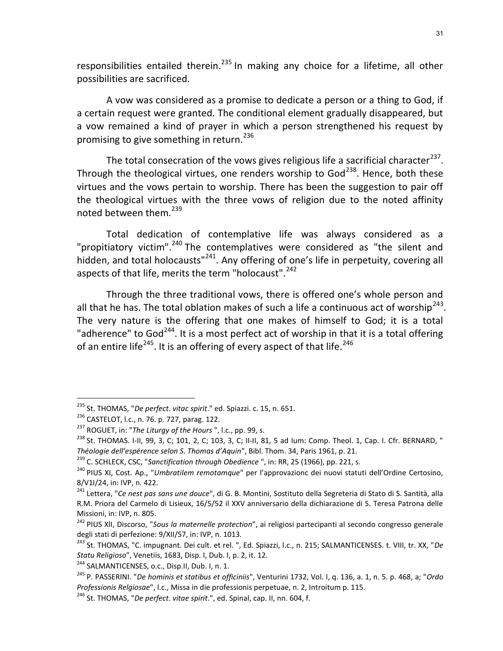responsibilities entailed therein.<sup>235</sup> In making any choice for a lifetime, all other possibilities are sacrificed.

A vow was considered as a promise to dedicate a person or a thing to God, if a certain request were granted. The conditional element gradually disappeared, but a vow remained a kind of prayer in which a person strengthened his request by promising to give something in return.<sup>236</sup>

The total consecration of the vows gives religious life a sacrificial character<sup>237</sup>. Through the theological virtues, one renders worship to God<sup>238</sup>. Hence, both these virtues and the vows pertain to worship. There has been the suggestion to pair off the theological virtues with the three vows of religion due to the noted affinity noted between them. $^{239}$ 

Total dedication of contemplative life was always considered as a "propitiatory victim".<sup>240</sup> The contemplatives were considered as "the silent and hidden, and total holocausts"<sup>241</sup>. Any offering of one's life in perpetuity, covering all aspects of that life, merits the term "holocaust".<sup>242</sup>

Through the three traditional vows, there is offered one's whole person and all that he has. The total oblation makes of such a life a continuous act of worship<sup>243</sup>. The very nature is the offering that one makes of himself to God; it is a total "adherence" to God<sup>244</sup>. It is a most perfect act of worship in that it is a total offering of an entire life<sup>245</sup>. It is an offering of every aspect of that life.<sup>246</sup>

<sup>&</sup>lt;sup>235</sup> St. THOMAS, "De perfect. vitac spirit." ed. Spiazzi. c. 15, n. 651.

<sup>236</sup> CASTELOT, l.c., n. 76. p. 727, parag. 122.

<sup>&</sup>lt;sup>237</sup> ROGUET, in: "The Liturgy of the Hours ", l.c., pp. 99, s.

 $^{238}$  St. THOMAS. I-II, 99, 3, C; 101, 2, C; 103, 3, C; II-II, 81, 5 ad Ium: Comp. Theol. 1, Cap. I. Cfr. BERNARD, " Théologie dell'espérence selon S. Thomas d'Aquin", Bibl. Thom. 34, Paris 1961, p. 21.

<sup>&</sup>lt;sup>239</sup> C. SCHLECK, CSC, "Sanctification through Obedience ", in: RR, 25 (1966), pp. 221, s.

<sup>&</sup>lt;sup>240</sup> PIUS XI, Cost. Ap., "Umbratilem remotamque" per l'approvazionc dei nuovi statuti dell'Ordine Certosino, 8/V1I/24, in: IVP, n. 422.

<sup>&</sup>lt;sup>241</sup> Lettera, "Ce nest pas sans une douce", di G. B. Montini, Sostituto della Segreteria di Stato di S. Santità, alla R.M. Priora del Carmelo di Lisieux, 16/5/52 il XXV anniversario della dichiarazione di S. Teresa Patrona delle Missioni, in: IVP, n. 805.

<sup>&</sup>lt;sup>242</sup> PIUS XII, Discorso, "Sous la maternelle protection", ai religiosi partecipanti al secondo congresso generale degli stati di perfezione: 9/XII/57, in: IVP, n. 1013.

<sup>&</sup>lt;sup>243</sup> St. THOMAS, "C. impugnant. Dei cult. et rel. ", Ed. Spiazzi, l.c., n. 215; SALMANTICENSES. t. VIII, tr. XX, "De Statu Religioso", Venetiis, 1683, Disp. I, Dub. I, p. 2, it. 12.

<sup>&</sup>lt;sup>244</sup> SALMANTICENSES, o.c., Disp.II, Dub. I, n. 1.

<sup>&</sup>lt;sup>245</sup> P. PASSERINI. "*De hominis et statibus et officiniis*", Venturini 1732, Vol. I, q. 136, a. 1, n. 5. p. 468, a; "Ordo Professionis Relgiosae", l.c., Missa in die professionis perpetuae, n. 2, Introitum p. 115.

 $246$  St. THOMAS, "*De perfect. vitae spirit.*", ed. Spinal, cap. II, nn. 604, f.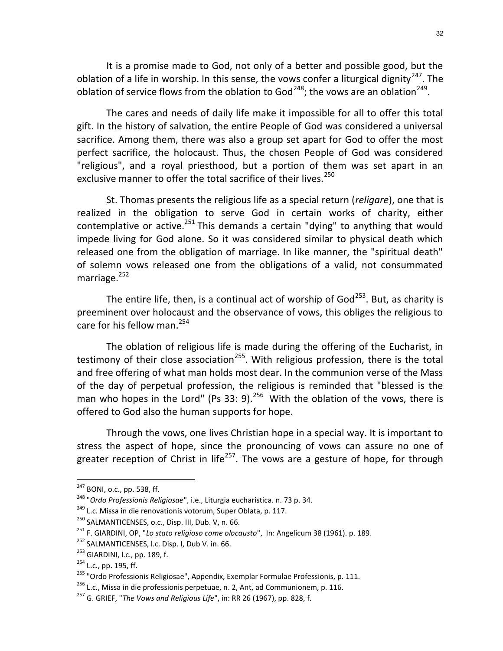It is a promise made to God, not only of a better and possible good, but the oblation of a life in worship. In this sense, the vows confer a liturgical dignity<sup>247</sup>. The oblation of service flows from the oblation to God<sup>248</sup>; the vows are an oblation<sup>249</sup>.

The cares and needs of daily life make it impossible for all to offer this total gift. In the history of salvation, the entire People of God was considered a universal sacrifice. Among them, there was also a group set apart for God to offer the most perfect sacrifice, the holocaust. Thus, the chosen People of God was considered "religious", and a royal priesthood, but a portion of them was set apart in an exclusive manner to offer the total sacrifice of their lives.<sup>250</sup>

St. Thomas presents the religious life as a special return (religare), one that is realized in the obligation to serve God in certain works of charity, either contemplative or active.<sup>251</sup> This demands a certain "dying" to anything that would impede living for God alone. So it was considered similar to physical death which released one from the obligation of marriage. In like manner, the "spiritual death" of solemn vows released one from the obligations of a valid, not consummated marriage. $^{252}$ 

The entire life, then, is a continual act of worship of  $God<sup>253</sup>$ . But, as charity is preeminent over holocaust and the observance of vows, this obliges the religious to care for his fellow man. $^{254}$ 

The oblation of religious life is made during the offering of the Eucharist, in testimony of their close association<sup>255</sup>. With religious profession, there is the total and free offering of what man holds most dear. In the communion verse of the Mass of the day of perpetual profession, the religious is reminded that "blessed is the man who hopes in the Lord" (Ps 33: 9).<sup>256</sup> With the oblation of the vows, there is offered to God also the human supports for hope.

Through the vows, one lives Christian hope in a special way. It is important to stress the aspect of hope, since the pronouncing of vows can assure no one of greater reception of Christ in life<sup>257</sup>. The vows are a gesture of hope, for through

<sup>247</sup> BONI, o.c., pp. 538, ff.

<sup>&</sup>lt;sup>248</sup> "Ordo Professionis Religiosae", i.e., Liturgia eucharistica. n. 73 p. 34.

 $249$  L.c. Missa in die renovationis votorum, Super Oblata, p. 117.

<sup>250</sup> SALMANTICENSES, o.c., Disp. III, Dub. V, n. 66.

 $^{251}$  F. GIARDINI, OP, "Lo stato religioso come olocausto", In: Angelicum 38 (1961). p. 189.

<sup>&</sup>lt;sup>252</sup> SALMANTICENSES, I.c. Disp. I, Dub V. in. 66.

<sup>&</sup>lt;sup>253</sup> GIARDINI, l.c., pp. 189, f.

<sup>&</sup>lt;sup>254</sup> L.c., pp. 195, ff.

<sup>&</sup>lt;sup>255</sup> "Ordo Professionis Religiosae", Appendix, Exemplar Formulae Professionis, p. 111.

 $256$  L.c., Missa in die professionis perpetuae, n. 2, Ant, ad Communionem, p. 116.

 $257$  G. GRIEF, "The Vows and Religious Life", in: RR 26 (1967), pp. 828, f.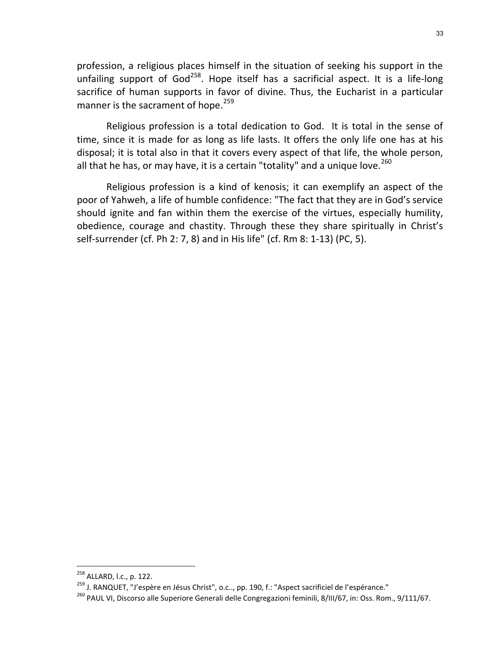profession, a religious places himself in the situation of seeking his support in the unfailing support of God<sup>258</sup>. Hope itself has a sacrificial aspect. It is a life-long sacrifice of human supports in favor of divine. Thus, the Eucharist in a particular manner is the sacrament of hope.<sup>259</sup>

Religious profession is a total dedication to God. It is total in the sense of time, since it is made for as long as life lasts. It offers the only life one has at his disposal; it is total also in that it covers every aspect of that life, the whole person, all that he has, or may have, it is a certain "totality" and a unique love. $^{260}$ 

Religious profession is a kind of kenosis; it can exemplify an aspect of the poor of Yahweh, a life of humble confidence: "The fact that they are in God's service should ignite and fan within them the exercise of the virtues, especially humility, obedience, courage and chastity. Through these they share spiritually in Christ's self-surrender (cf. Ph 2: 7, 8) and in His life" (cf. Rm 8: 1-13) (PC, 5).

<sup>258</sup> ALLARD, l.c., p. 122.

<sup>&</sup>lt;sup>259</sup> J. RANQUET, "J'espère en Jésus Christ", o.c.., pp. 190, f.: "Aspect sacrificiel de l'espérance."

<sup>&</sup>lt;sup>260</sup> PAUL VI, Discorso alle Superiore Generali delle Congregazioni feminili, 8/III/67, in: Oss. Rom., 9/111/67.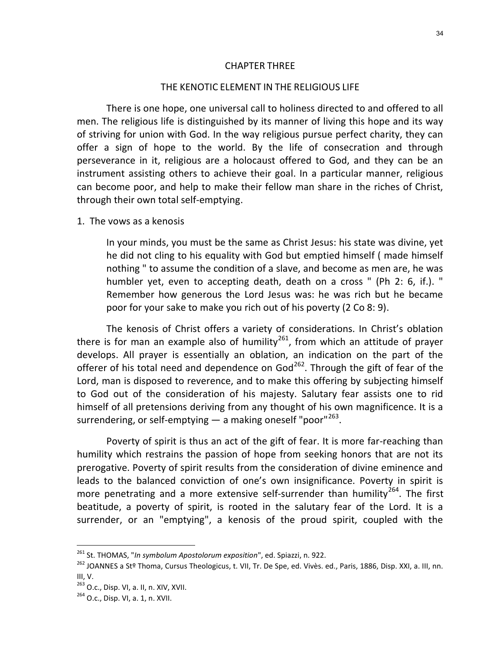#### CHAPTER THREE

#### THE KENOTIC ELEMENT IN THE RELIGIOUS LIFE

There is one hope, one universal call to holiness directed to and offered to all men. The religious life is distinguished by its manner of living this hope and its way of striving for union with God. In the way religious pursue perfect charity, they can offer a sign of hope to the world. By the life of consecration and through perseverance in it, religious are a holocaust offered to God, and they can be an instrument assisting others to achieve their goal. In a particular manner, religious can become poor, and help to make their fellow man share in the riches of Christ, through their own total self-emptying.

1. The vows as a kenosis

In your minds, you must be the same as Christ Jesus: his state was divine, yet he did not cling to his equality with God but emptied himself ( made himself nothing " to assume the condition of a slave, and become as men are, he was humbler yet, even to accepting death, death on a cross " (Ph 2: 6, if.). " Remember how generous the Lord Jesus was: he was rich but he became poor for your sake to make you rich out of his poverty (2 Co 8: 9).

The kenosis of Christ offers a variety of considerations. In Christ's oblation there is for man an example also of humility<sup>261</sup>, from which an attitude of prayer develops. All prayer is essentially an oblation, an indication on the part of the offerer of his total need and dependence on  $God<sup>262</sup>$ . Through the gift of fear of the Lord, man is disposed to reverence, and to make this offering by subjecting himself to God out of the consideration of his majesty. Salutary fear assists one to rid himself of all pretensions deriving from any thought of his own magnificence. It is a surrendering, or self-emptying  $-$  a making oneself "poor"<sup>263</sup>.

Poverty of spirit is thus an act of the gift of fear. It is more far-reaching than humility which restrains the passion of hope from seeking honors that are not its prerogative. Poverty of spirit results from the consideration of divine eminence and leads to the balanced conviction of one's own insignificance. Poverty in spirit is more penetrating and a more extensive self-surrender than humility<sup>264</sup>. The first beatitude, a poverty of spirit, is rooted in the salutary fear of the Lord. It is a surrender, or an "emptying", a kenosis of the proud spirit, coupled with the

 $^{261}$  St. THOMAS, "*In symbolum Apostolorum exposition*", ed. Spiazzi, n. 922.

<sup>262</sup> JOANNES a Stº Thoma, Cursus Theologicus, t. VII, Tr. De Spe, ed. Vivès. ed., Paris, 1886, Disp. XXI, a. III, nn. III, V.

<sup>263</sup> O.c., Disp. VI, a. II, n. XIV, XVII.

 $264$  O.c., Disp. VI, a. 1, n. XVII.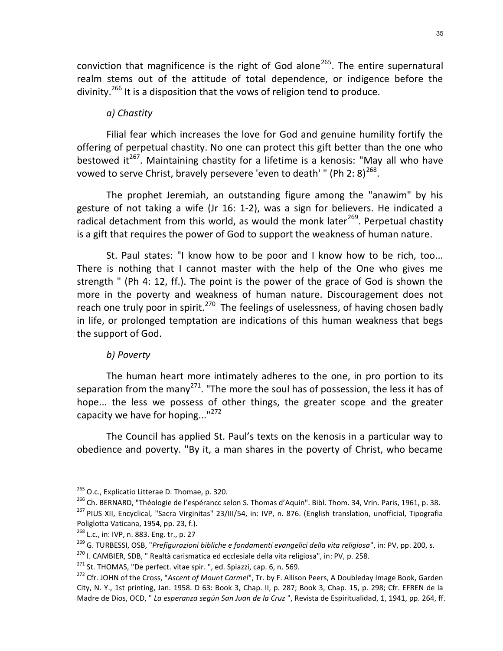conviction that magnificence is the right of God alone<sup>265</sup>. The entire supernatural realm stems out of the attitude of total dependence, or indigence before the divinity.<sup>266</sup> It is a disposition that the vows of religion tend to produce.

### a) Chastity

Filial fear which increases the love for God and genuine humility fortify the offering of perpetual chastity. No one can protect this gift better than the one who bestowed it<sup>267</sup>. Maintaining chastity for a lifetime is a kenosis: "May all who have vowed to serve Christ, bravely persevere 'even to death' " (Ph 2: 8)<sup>268</sup>.

The prophet Jeremiah, an outstanding figure among the "anawim" by his gesture of not taking a wife (Jr 16: 1-2), was a sign for believers. He indicated a radical detachment from this world, as would the monk later<sup>269</sup>. Perpetual chastity is a gift that requires the power of God to support the weakness of human nature.

St. Paul states: "I know how to be poor and I know how to be rich, too... There is nothing that I cannot master with the help of the One who gives me strength " (Ph 4: 12, ff.). The point is the power of the grace of God is shown the more in the poverty and weakness of human nature. Discouragement does not reach one truly poor in spirit.<sup>270</sup> The feelings of uselessness, of having chosen badly in life, or prolonged temptation are indications of this human weakness that begs the support of God.

#### b) Poverty

The human heart more intimately adheres to the one, in pro portion to its separation from the many<sup>271</sup>. "The more the soul has of possession, the less it has of hope... the less we possess of other things, the greater scope and the greater capacity we have for hoping... $"^{272}$ 

The Council has applied St. Paul's texts on the kenosis in a particular way to obedience and poverty. "By it, a man shares in the poverty of Christ, who became

<sup>&</sup>lt;sup>265</sup> O.c., Explicatio Litterae D. Thomae, p. 320.

<sup>&</sup>lt;sup>266</sup> Ch. BERNARD, "Théologie de l'espérancc selon S. Thomas d'Aquin". Bibl. Thom. 34, Vrin. Paris, 1961, p. 38. <sup>267</sup> PIUS XII, Encyclical, "Sacra Virginitas" 23/III/54, in: IVP, n. 876. (English translation, unofficial, Tipografia Poliglotta Vaticana, 1954, pp. 23, f.).

<sup>268</sup> L.c., in: IVP, n. 883. Eng. tr., p. 27

<sup>&</sup>lt;sup>269</sup> G. TURBESSI, OSB, "Prefigurazioni bibliche e fondamenti evangelici della vita religiosa", in: PV, pp. 200, s.

<sup>270</sup> I. CAMBIER, SDB, " Realtà carismatica ed ecclesiale della vita religiosa", in: PV, p. 258.

<sup>&</sup>lt;sup>271</sup> St. THOMAS, "De perfect. vitae spir. ", ed. Spiazzi, cap. 6, n. 569.

<sup>&</sup>lt;sup>272</sup> Cfr. JOHN of the Cross, "Ascent of Mount Carmel", Tr. by F. Allison Peers, A Doubleday Image Book, Garden City, N. Y., 1st printing, Jan. 1958. D 63: Book 3, Chap. II, p. 287; Book 3, Chap. 15, p. 298; Cfr. EFREN de la Madre de Dios, OCD, " La esperanza según San Juan de la Cruz ", Revista de Espiritualidad, 1, 1941, pp. 264, ff.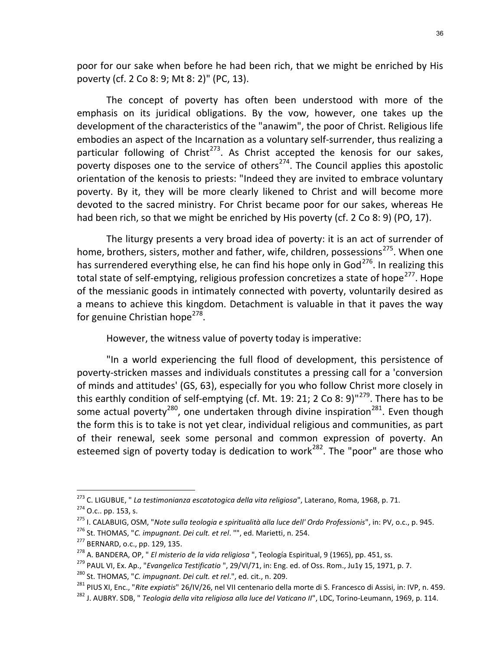poor for our sake when before he had been rich, that we might be enriched by His poverty (cf. 2 Co 8: 9; Mt 8: 2)" (PC, 13).

The concept of poverty has often been understood with more of the emphasis on its juridical obligations. By the vow, however, one takes up the development of the characteristics of the "anawim", the poor of Christ. Religious life embodies an aspect of the Incarnation as a voluntary self-surrender, thus realizing a particular following of Christ<sup>273</sup>. As Christ accepted the kenosis for our sakes, poverty disposes one to the service of others<sup> $274$ </sup>. The Council applies this apostolic orientation of the kenosis to priests: "Indeed they are invited to embrace voluntary poverty. By it, they will be more clearly likened to Christ and will become more devoted to the sacred ministry. For Christ became poor for our sakes, whereas He had been rich, so that we might be enriched by His poverty (cf. 2 Co 8: 9) (PO, 17).

The liturgy presents a very broad idea of poverty: it is an act of surrender of home, brothers, sisters, mother and father, wife, children, possessions<sup>275</sup>. When one has surrendered everything else, he can find his hope only in God<sup>276</sup>. In realizing this total state of self-emptying, religious profession concretizes a state of hope<sup>277</sup>. Hope of the messianic goods in intimately connected with poverty, voluntarily desired as a means to achieve this kingdom. Detachment is valuable in that it paves the way for genuine Christian hope<sup>278</sup>.

However, the witness value of poverty today is imperative:

"In a world experiencing the full flood of development, this persistence of poverty-stricken masses and individuals constitutes a pressing call for a 'conversion of minds and attitudes' (GS, 63), especially for you who follow Christ more closely in this earthly condition of self-emptying (cf. Mt. 19: 21; 2 Co 8: 9)<sup>"279</sup>. There has to be some actual poverty<sup>280</sup>, one undertaken through divine inspiration<sup>281</sup>. Even though the form this is to take is not yet clear, individual religious and communities, as part of their renewal, seek some personal and common expression of poverty. An esteemed sign of poverty today is dedication to work<sup>282</sup>. The "poor" are those who

<sup>&</sup>lt;sup>273</sup> C. LIGUBUE, " La testimonianza escatotogica della vita religiosa", Laterano, Roma, 1968, p. 71.  $274$  O.c.. pp. 153, s.

<sup>275</sup> I. CALABUIG, OSM, "Note sulla teologia e spiritualità alla luce dell' Ordo Professionis", in: PV, o.c., p. 945.

<sup>&</sup>lt;sup>276</sup> St. THOMAS, "C. impugnant. Dei cult. et rel. "", ed. Marietti, n. 254.

<sup>277</sup> BERNARD, o.c., pp. 129, 135.

 $^{278}$  A. BANDERA, OP, " *El misterio de la vida religiosa* ", Teología Espiritual, 9 (1965), pp. 451, ss.

<sup>&</sup>lt;sup>279</sup> PAUL VI, Ex. Ap., "Evangelica Testificatio ", 29/VI/71, in: Eng. ed. of Oss. Rom., Ju1y 15, 1971, p. 7. <sup>280</sup> St. THOMAS, "C. impugnant. Dei cult. et rel.", ed. cit., n. 209.

<sup>&</sup>lt;sup>281</sup> PIUS XI, Enc., "Rite expiatis" 26/IV/26, nel VII centenario della morte di S. Francesco di Assisi, in: IVP, n. 459.

<sup>&</sup>lt;sup>282</sup> J. AUBRY. SDB, " Teologia della vita religiosa alla luce del Vaticano II", LDC, Torino-Leumann, 1969, p. 114.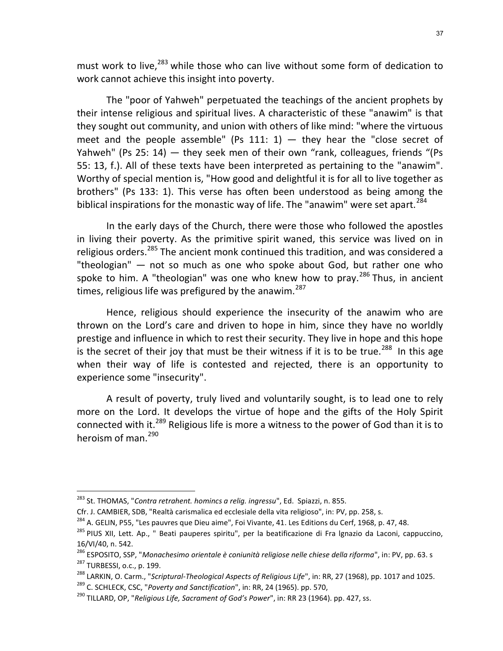must work to live,<sup>283</sup> while those who can live without some form of dedication to work cannot achieve this insight into poverty.

The "poor of Yahweh" perpetuated the teachings of the ancient prophets by their intense religious and spiritual lives. A characteristic of these "anawim" is that they sought out community, and union with others of like mind: "where the virtuous meet and the people assemble" (Ps 111: 1)  $-$  they hear the "close secret of Yahweh" (Ps 25: 14) — they seek men of their own "rank, colleagues, friends "(Ps 55: 13, f.). All of these texts have been interpreted as pertaining to the "anawim". Worthy of special mention is, "How good and delightful it is for all to live together as brothers" (Ps 133: 1). This verse has often been understood as being among the biblical inspirations for the monastic way of life. The "anawim" were set apart.  $284$ 

In the early days of the Church, there were those who followed the apostles in living their poverty. As the primitive spirit waned, this service was lived on in religious orders.<sup>285</sup> The ancient monk continued this tradition, and was considered a "theologian" — not so much as one who spoke about God, but rather one who spoke to him. A "theologian" was one who knew how to pray. $^{286}$  Thus, in ancient times, religious life was prefigured by the anawim.<sup>287</sup>

Hence, religious should experience the insecurity of the anawim who are thrown on the Lord's care and driven to hope in him, since they have no worldly prestige and influence in which to rest their security. They live in hope and this hope is the secret of their joy that must be their witness if it is to be true.<sup>288</sup> In this age when their way of life is contested and rejected, there is an opportunity to experience some "insecurity".

A result of poverty, truly lived and voluntarily sought, is to lead one to rely more on the Lord. It develops the virtue of hope and the gifts of the Holy Spirit connected with it.<sup>289</sup> Religious life is more a witness to the power of God than it is to heroism of man. $^{290}$ 

<sup>&</sup>lt;sup>283</sup> St. THOMAS, "Contra retrahent. homincs a relig. ingressu", Ed. Spiazzi, n. 855.

Cfr. J. CAMBIER, SDB, "Realtà carismalica ed ecclesiale della vita religioso", in: PV, pp. 258, s.

<sup>&</sup>lt;sup>284</sup> A. GELIN, P55, "Les pauvres que Dieu aime", Foi Vivante, 41. Les Editions du Cerf, 1968, p. 47, 48.

<sup>&</sup>lt;sup>285</sup> PIUS XII, Lett. Ap., " Beati pauperes spiritu", per la beatificazione di Fra Ignazio da Laconi, cappuccino, 16/VI/40, n. 542.

<sup>286</sup> ESPOSITO, SSP, "Monachesimo orientale è coniunità religiose nelle chiese della riforma", in: PV, pp. 63. s <sup>287</sup> TURBESSI, o.c., p. 199.

<sup>&</sup>lt;sup>288</sup> LARKIN, O. Carm., "Scriptural-Theological Aspects of Religious Life", in: RR, 27 (1968), pp. 1017 and 1025.

<sup>&</sup>lt;sup>289</sup> C. SCHLECK, CSC, "Poverty and Sanctification", in: RR, 24 (1965). pp. 570,

 $^{290}$  TILLARD, OP, "Religious Life, Sacrament of God's Power", in: RR 23 (1964). pp. 427, ss.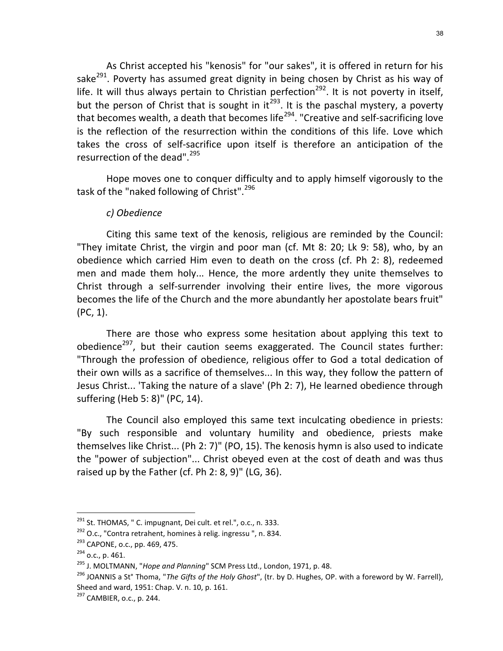As Christ accepted his "kenosis" for "our sakes", it is offered in return for his sake<sup>291</sup>. Poverty has assumed great dignity in being chosen by Christ as his way of life. It will thus always pertain to Christian perfection<sup>292</sup>. It is not poverty in itself, but the person of Christ that is sought in it<sup>293</sup>. It is the paschal mystery, a poverty that becomes wealth, a death that becomes life $^{294}$ . "Creative and self-sacrificing love is the reflection of the resurrection within the conditions of this life. Love which takes the cross of self-sacrifice upon itself is therefore an anticipation of the resurrection of the dead".<sup>295</sup>

Hope moves one to conquer difficulty and to apply himself vigorously to the task of the "naked following of Christ".<sup>296</sup>

### c) Obedience

Citing this same text of the kenosis, religious are reminded by the Council: "They imitate Christ, the virgin and poor man (cf. Mt 8: 20; Lk 9: 58), who, by an obedience which carried Him even to death on the cross (cf. Ph 2: 8), redeemed men and made them holy... Hence, the more ardently they unite themselves to Christ through a self-surrender involving their entire lives, the more vigorous becomes the life of the Church and the more abundantly her apostolate bears fruit" (PC, 1).

There are those who express some hesitation about applying this text to obedience<sup>297</sup>, but their caution seems exaggerated. The Council states further: "Through the profession of obedience, religious offer to God a total dedication of their own wills as a sacrifice of themselves... In this way, they follow the pattern of Jesus Christ... 'Taking the nature of a slave' (Ph 2: 7), He learned obedience through suffering (Heb 5: 8)" (PC, 14).

The Council also employed this same text inculcating obedience in priests: "By such responsible and voluntary humility and obedience, priests make themselves like Christ... (Ph 2: 7)" (PO, 15). The kenosis hymn is also used to indicate the "power of subjection"... Christ obeyed even at the cost of death and was thus raised up by the Father (cf. Ph 2: 8, 9)" (LG, 36).

 $291$  St. THOMAS, " C. impugnant, Dei cult. et rel.", o.c., n. 333.

<sup>&</sup>lt;sup>292</sup> O.c., "Contra retrahent, homines à relig. ingressu ", n. 834.

<sup>&</sup>lt;sup>293</sup> CAPONE, o.c., pp. 469, 475.

 $294$  o.c., p. 461.

 $^{295}$  J. MOLTMANN, "Hope and Planning" SCM Press Ltd., London, 1971, p. 48.

<sup>&</sup>lt;sup>296</sup> JOANNIS a St° Thoma, "*The Gifts of the Holy Ghost*", (tr. by D. Hughes, OP. with a foreword by W. Farrell), Sheed and ward, 1951: Chap. V. n. 10, p. 161.

<sup>297</sup> CAMBIER, o.c., p. 244.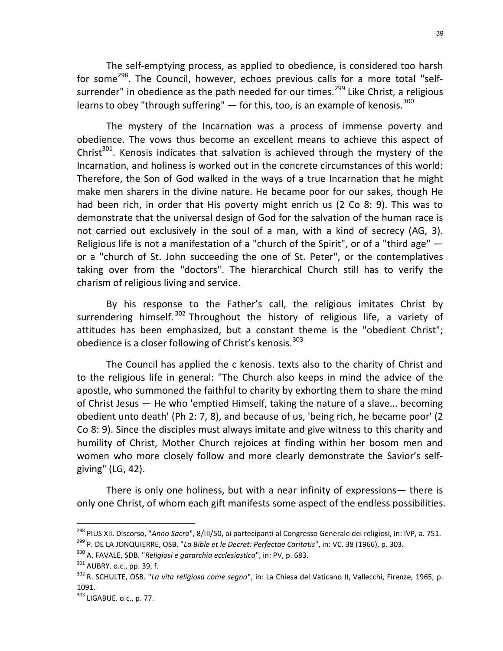The self-emptying process, as applied to obedience, is considered too harsh for some<sup>298</sup>. The Council, however, echoes previous calls for a more total "selfsurrender" in obedience as the path needed for our times.<sup>299</sup> Like Christ, a religious learns to obey "through suffering"  $-$  for this, too, is an example of kenosis.<sup>300</sup>

The mystery of the Incarnation was a process of immense poverty and obedience. The vows thus become an excellent means to achieve this aspect of Christ $301$ . Kenosis indicates that salvation is achieved through the mystery of the Incarnation, and holiness is worked out in the concrete circumstances of this world: Therefore, the Son of God walked in the ways of a true Incarnation that he might make men sharers in the divine nature. He became poor for our sakes, though He had been rich, in order that His poverty might enrich us (2 Co 8: 9). This was to demonstrate that the universal design of God for the salvation of the human race is not carried out exclusively in the soul of a man, with a kind of secrecy (AG, 3). Religious life is not a manifestation of a "church of the Spirit", or of a "third age" or a "church of St. John succeeding the one of St. Peter", or the contemplatives taking over from the "doctors". The hierarchical Church still has to verify the charism of religious living and service.

By his response to the Father's call, the religious imitates Christ by surrendering himself.<sup>302</sup> Throughout the history of religious life, a variety of attitudes has been emphasized, but a constant theme is the "obedient Christ"; obedience is a closer following of Christ's kenosis.<sup>303</sup>

The Council has applied the c kenosis. texts also to the charity of Christ and to the religious life in general: "The Church also keeps in mind the advice of the apostle, who summoned the faithful to charity by exhorting them to share the mind of Christ Jesus — He who 'emptied Himself, taking the nature of a slave... becoming obedient unto death' (Ph 2: 7, 8), and because of us, 'being rich, he became poor' (2 Co 8: 9). Since the disciples must always imitate and give witness to this charity and humility of Christ, Mother Church rejoices at finding within her bosom men and women who more closely follow and more clearly demonstrate the Savior's selfgiving" (LG, 42).

There is only one holiness, but with a near infinity of expressions— there is only one Christ, of whom each gift manifests some aspect of the endless possibilities.

<sup>&</sup>lt;sup>298</sup> PIUS XII. Discorso, "Anno Sacro", 8/III/50, ai partecipanti al Congresso Generale dei religiosi, in: IVP, a. 751. <sup>299</sup> P. DE LA JONQUIERRE, OSB. "La Bible et le Decret: Perfectae Caritatis", in: VC. 38 (1966), p. 303.

<sup>&</sup>lt;sup>300</sup> A. FAVALE, SDB. "Religiosi e gararchia ecclesiastica", in: PV, p. 683.

<sup>301</sup> AUBRY. o.c., pp. 39, f.

<sup>&</sup>lt;sup>302</sup> R. SCHULTE, OSB. "*La vita religiosa come segno*", in: La Chiesa del Vaticano II, Vallecchi, Firenze, 1965, p. 1091.

<sup>303</sup> LIGABUE. o.c., p. 77.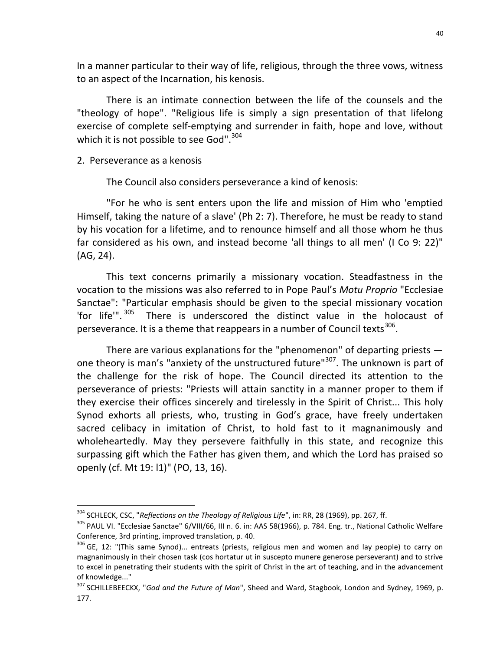In a manner particular to their way of life, religious, through the three vows, witness to an aspect of the Incarnation, his kenosis.

There is an intimate connection between the life of the counsels and the "theology of hope". "Religious life is simply a sign presentation of that lifelong exercise of complete self-emptying and surrender in faith, hope and love, without which it is not possible to see God".<sup>304</sup>

### 2. Perseverance as a kenosis

-

The Council also considers perseverance a kind of kenosis:

"For he who is sent enters upon the life and mission of Him who 'emptied Himself, taking the nature of a slave' (Ph 2: 7). Therefore, he must be ready to stand by his vocation for a lifetime, and to renounce himself and all those whom he thus far considered as his own, and instead become 'all things to all men' (I Co 9: 22)" (AG, 24).

This text concerns primarily a missionary vocation. Steadfastness in the vocation to the missions was also referred to in Pope Paul's Motu Proprio "Ecclesiae Sanctae": "Particular emphasis should be given to the special missionary vocation 'for life'".<sup>305</sup> There is underscored the distinct value in the holocaust of perseverance. It is a theme that reappears in a number of Council texts<sup>306</sup>.

There are various explanations for the "phenomenon" of departing priests  $$ one theory is man's "anxiety of the unstructured future"<sup>307</sup>. The unknown is part of the challenge for the risk of hope. The Council directed its attention to the perseverance of priests: "Priests will attain sanctity in a manner proper to them if they exercise their offices sincerely and tirelessly in the Spirit of Christ... This holy Synod exhorts all priests, who, trusting in God's grace, have freely undertaken sacred celibacy in imitation of Christ, to hold fast to it magnanimously and wholeheartedly. May they persevere faithfully in this state, and recognize this surpassing gift which the Father has given them, and which the Lord has praised so openly (cf. Mt 19: l1)" (PO, 13, 16).

 $304$  SCHLECK, CSC, "Reflections on the Theology of Religious Life", in: RR, 28 (1969), pp. 267, ff.

<sup>&</sup>lt;sup>305</sup> PAUL VI. "Ecclesiae Sanctae" 6/VIII/66, III n. 6. in: AAS 58(1966), p. 784. Eng. tr., National Catholic Welfare Conference, 3rd printing, improved translation, p. 40.

<sup>&</sup>lt;sup>306</sup> GE, 12: "(This same Synod)... entreats (priests, religious men and women and lay people) to carry on magnanimously in their chosen task (cos hortatur ut in suscepto munere generose perseverant) and to strive to excel in penetrating their students with the spirit of Christ in the art of teaching, and in the advancement of knowledge..."

<sup>&</sup>lt;sup>307</sup> SCHILLEBEECKX, "God and the Future of Man", Sheed and Ward, Stagbook, London and Sydney, 1969, p. 177.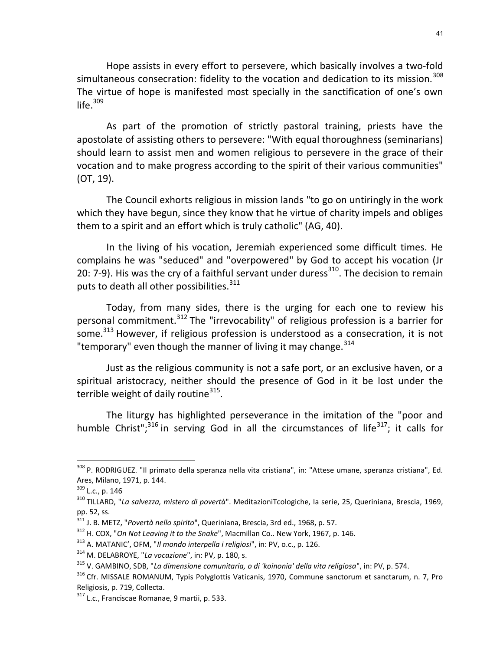Hope assists in every effort to persevere, which basically involves a two-fold simultaneous consecration: fidelity to the vocation and dedication to its mission.<sup>308</sup> The virtue of hope is manifested most specially in the sanctification of one's own life. $309$ 

As part of the promotion of strictly pastoral training, priests have the apostolate of assisting others to persevere: "With equal thoroughness (seminarians) should learn to assist men and women religious to persevere in the grace of their vocation and to make progress according to the spirit of their various communities" (OT, 19).

The Council exhorts religious in mission lands "to go on untiringly in the work which they have begun, since they know that he virtue of charity impels and obliges them to a spirit and an effort which is truly catholic" (AG, 40).

In the living of his vocation, Jeremiah experienced some difficult times. He complains he was "seduced" and "overpowered" by God to accept his vocation (Jr 20: 7-9). His was the cry of a faithful servant under duress<sup>310</sup>. The decision to remain puts to death all other possibilities.<sup>311</sup>

Today, from many sides, there is the urging for each one to review his personal commitment.<sup>312</sup> The "irrevocability" of religious profession is a barrier for some.<sup>313</sup> However, if religious profession is understood as a consecration, it is not "temporary" even though the manner of living it may change. $^{314}$ 

Just as the religious community is not a safe port, or an exclusive haven, or a spiritual aristocracy, neither should the presence of God in it be lost under the terrible weight of daily routine<sup>315</sup>.

The liturgy has highlighted perseverance in the imitation of the "poor and humble Christ";<sup>316</sup> in serving God in all the circumstances of life<sup>317</sup>; it calls for

<sup>308</sup> P. RODRIGUEZ. "Il primato della speranza nella vita cristiana", in: "Attese umane, speranza cristiana", Ed. Ares, Milano, 1971, p. 144.

<sup>309</sup> L.c., p. 146

<sup>310</sup> TILLARD, "La salvezza, mistero di povertà". MeditazioniTcologiche, Ia serie, 25, Queriniana, Brescia, 1969, pp. 52, ss.

<sup>311</sup> J. B. METZ, "Povertà nello spirito", Queriniana, Brescia, 3rd ed., 1968, p. 57.

<sup>&</sup>lt;sup>312</sup> H. COX, "On Not Leaving it to the Snake", Macmillan Co.. New York, 1967, p. 146.

 $313$  A. MATANIC', OFM, "Il mondo interpella i religiosi", in: PV, o.c., p. 126.

<sup>&</sup>lt;sup>314</sup> M. DELABROYE, "La vocazione", in: PV, p. 180, s.

<sup>315</sup> V. GAMBINO, SDB, "La dimensione comunitaria, o di 'koinonia' della vita religiosa", in: PV, p. 574.

<sup>316</sup> Cfr. MISSALE ROMANUM, Typis Polyglottis Vaticanis, 1970, Commune sanctorum et sanctarum, n. 7, Pro Religiosis, p. 719, Collecta.

<sup>317</sup> L.c., Franciscae Romanae, 9 martii, p. 533.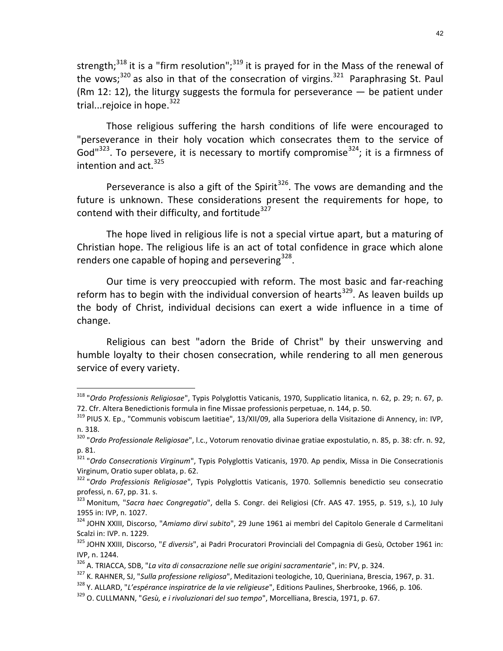strength;<sup>318</sup> it is a "firm resolution";<sup>319</sup> it is prayed for in the Mass of the renewal of the vows; $320$  as also in that of the consecration of virgins. $321$  Paraphrasing St. Paul (Rm 12: 12), the liturgy suggests the formula for perseverance  $-$  be patient under trial...rejoice in hope.<sup>322</sup>

Those religious suffering the harsh conditions of life were encouraged to "perseverance in their holy vocation which consecrates them to the service of God<sup>1323</sup>. To persevere, it is necessary to mortify compromise<sup>324</sup>; it is a firmness of intention and  $act.<sup>325</sup>$ 

Perseverance is also a gift of the Spirit<sup>326</sup>. The vows are demanding and the future is unknown. These considerations present the requirements for hope, to contend with their difficulty, and fortitude $327$ 

The hope lived in religious life is not a special virtue apart, but a maturing of Christian hope. The religious life is an act of total confidence in grace which alone renders one capable of hoping and persevering<sup>328</sup>.

Our time is very preoccupied with reform. The most basic and far-reaching reform has to begin with the individual conversion of hearts<sup>329</sup>. As leaven builds up the body of Christ, individual decisions can exert a wide influence in a time of change.

Religious can best "adorn the Bride of Christ" by their unswerving and humble loyalty to their chosen consecration, while rendering to all men generous service of every variety.

<sup>&</sup>lt;sup>318</sup> "Ordo Professionis Religiosae", Typis Polyglottis Vaticanis, 1970, Supplicatio litanica, n. 62, p. 29; n. 67, p. 72. Cfr. Altera Benedictionis formula in fine Missae professionis perpetuae, n. 144, p. 50.

<sup>319</sup> PIUS X. Ep., "Communis vobiscum laetitiae", 13/XII/09, alla Superiora della Visitazione di Annency, in: IVP, n. 318.

<sup>320</sup> "Ordo Professionale Religiosae", l.c., Votorum renovatio divinae gratiae expostulatio, n. 85, p. 38: cfr. n. 92, p. 81.

<sup>&</sup>lt;sup>321</sup> "Ordo Consecrationis Virginum", Typis Polyglottis Vaticanis, 1970. Ap pendix, Missa in Die Consecrationis Virginum, Oratio super oblata, p. 62.

<sup>&</sup>lt;sup>322</sup> "Ordo Professionis Religiosae", Typis Polyglottis Vaticanis, 1970. Sollemnis benedictio seu consecratio professi, n. 67, pp. 31. s.

<sup>323</sup> Monitum, "Sacra haec Congregatio", della S. Congr. dei Religiosi (Cfr. AAS 47. 1955, p. 519, s.), 10 July 1955 in: IVP, n. 1027.

<sup>324</sup> JOHN XXIII, Discorso, "Amiamo dirvi subito", 29 June 1961 ai membri del Capitolo Generale d Carmelitani Scalzi in: IVP. n. 1229.

<sup>325</sup> JOHN XXIII, Discorso, "E diversis", ai Padri Procuratori Provinciali del Compagnia di Gesù, October 1961 in: IVP, n. 1244.

<sup>326</sup> A. TRIACCA, SDB, "La vita di consacrazione nelle sue origini sacramentarie", in: PV, p. 324.

<sup>&</sup>lt;sup>327</sup> K. RAHNER, SJ, "Sulla professione religiosa", Meditazioni teologiche, 10, Queriniana, Brescia, 1967, p. 31.

<sup>&</sup>lt;sup>328</sup> Y. ALLARD, "L'espérance inspiratrice de la vie religieuse", Editions Paulines, Sherbrooke, 1966, p. 106.

<sup>329</sup> O. CULLMANN, "Gesù, e i rivoluzionari del suo tempo", Morcelliana, Brescia, 1971, p. 67.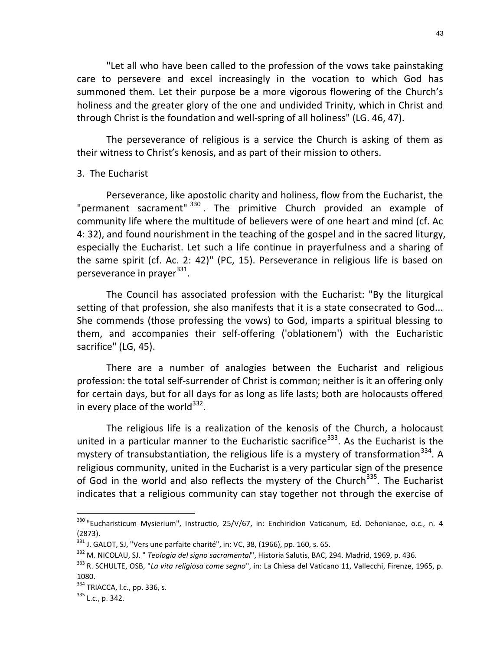"Let all who have been called to the profession of the vows take painstaking care to persevere and excel increasingly in the vocation to which God has summoned them. Let their purpose be a more vigorous flowering of the Church's holiness and the greater glory of the one and undivided Trinity, which in Christ and through Christ is the foundation and well-spring of all holiness" (LG. 46, 47).

The perseverance of religious is a service the Church is asking of them as their witness to Christ's kenosis, and as part of their mission to others.

### 3. The Eucharist

Perseverance, like apostolic charity and holiness, flow from the Eucharist, the "permanent sacrament" <sup>330</sup>. The primitive Church provided an example of community life where the multitude of believers were of one heart and mind (cf. Ac 4: 32), and found nourishment in the teaching of the gospel and in the sacred liturgy, especially the Eucharist. Let such a life continue in prayerfulness and a sharing of the same spirit (cf. Ac. 2: 42)" (PC, 15). Perseverance in religious life is based on perseverance in prayer<sup>331</sup>.

The Council has associated profession with the Eucharist: "By the liturgical setting of that profession, she also manifests that it is a state consecrated to God... She commends (those professing the vows) to God, imparts a spiritual blessing to them, and accompanies their self-offering ('oblationem') with the Eucharistic sacrifice" (LG, 45).

There are a number of analogies between the Eucharist and religious profession: the total self-surrender of Christ is common; neither is it an offering only for certain days, but for all days for as long as life lasts; both are holocausts offered in every place of the world<sup>332</sup>.

The religious life is a realization of the kenosis of the Church, a holocaust united in a particular manner to the Eucharistic sacrifice<sup>333</sup>. As the Eucharist is the mystery of transubstantiation, the religious life is a mystery of transformation  $334$ . A religious community, united in the Eucharist is a very particular sign of the presence of God in the world and also reflects the mystery of the Church<sup>335</sup>. The Eucharist indicates that a religious community can stay together not through the exercise of

<sup>&</sup>lt;sup>330</sup> "Eucharisticum Mysierium", Instructio, 25/V/67, in: Enchiridion Vaticanum, Ed. Dehonianae, o.c., n. 4 (2873).

 $331$  J. GALOT, SJ, "Vers une parfaite charité", in: VC, 38, (1966), pp. 160, s. 65.

<sup>332</sup> M. NICOLAU, SJ. " Teologia del signo sacramental", Historia Salutis, BAC, 294. Madrid, 1969, p. 436.

<sup>333</sup> R. SCHULTE, OSB, "La vita religiosa come segno", in: La Chiesa del Vaticano 11, Vallecchi, Firenze, 1965, p. 1080.

<sup>334</sup> TRIACCA, l.c., pp. 336, s.

 $335$  L.c., p. 342.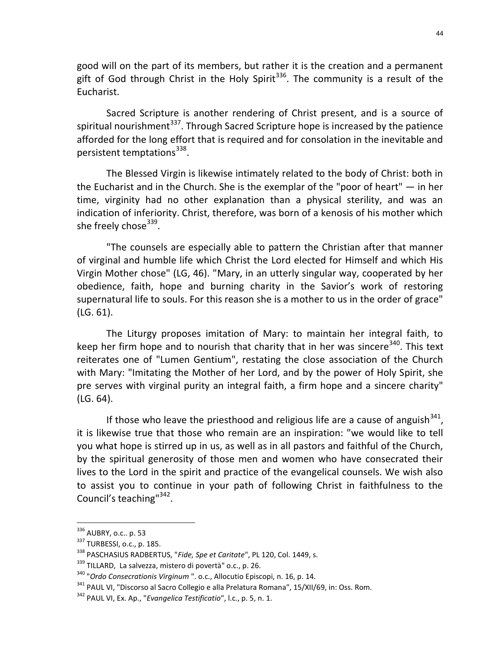good will on the part of its members, but rather it is the creation and a permanent gift of God through Christ in the Holy Spirit<sup>336</sup>. The community is a result of the Eucharist.

Sacred Scripture is another rendering of Christ present, and is a source of spiritual nourishment $^{337}$ . Through Sacred Scripture hope is increased by the patience afforded for the long effort that is required and for consolation in the inevitable and persistent temptations<sup>338</sup>.

The Blessed Virgin is likewise intimately related to the body of Christ: both in the Eucharist and in the Church. She is the exemplar of the "poor of heart" — in her time, virginity had no other explanation than a physical sterility, and was an indication of inferiority. Christ, therefore, was born of a kenosis of his mother which she freely chose<sup>339</sup>.

"The counsels are especially able to pattern the Christian after that manner of virginal and humble life which Christ the Lord elected for Himself and which His Virgin Mother chose" (LG, 46). "Mary, in an utterly singular way, cooperated by her obedience, faith, hope and burning charity in the Savior's work of restoring supernatural life to souls. For this reason she is a mother to us in the order of grace" (LG. 61).

The Liturgy proposes imitation of Mary: to maintain her integral faith, to keep her firm hope and to nourish that charity that in her was sincere<sup>340</sup>. This text reiterates one of "Lumen Gentium", restating the close association of the Church with Mary: "Imitating the Mother of her Lord, and by the power of Holy Spirit, she pre serves with virginal purity an integral faith, a firm hope and a sincere charity" (LG. 64).

If those who leave the priesthood and religious life are a cause of anguish  $341$ , it is likewise true that those who remain are an inspiration: "we would like to tell you what hope is stirred up in us, as well as in all pastors and faithful of the Church, by the spiritual generosity of those men and women who have consecrated their lives to the Lord in the spirit and practice of the evangelical counsels. We wish also to assist you to continue in your path of following Christ in faithfulness to the Council's teaching"<sup>342</sup>.

<sup>&</sup>lt;sup>336</sup> AUBRY, o.c.. p. 53

<sup>337</sup> TURBESSI, o.c., p. 185.

<sup>338</sup> PASCHASIUS RADBERTUS, "Fide, Spe et Caritate", PL 120, Col. 1449, s.

<sup>339</sup> TILLARD, La salvezza, mistero di povertà" o.c., p. 26.

<sup>&</sup>lt;sup>340</sup> "Ordo Consecrationis Virginum ". o.c., Allocutio Episcopi, n. 16, p. 14.

<sup>341</sup> PAUL VI, "Discorso al Sacro Collegio e alla Prelatura Romana", 15/XII/69, in: Oss. Rom.

 $342$  PAUL VI, Ex. Ap., "*Evangelica Testificatio*", l.c., p. 5, n. 1.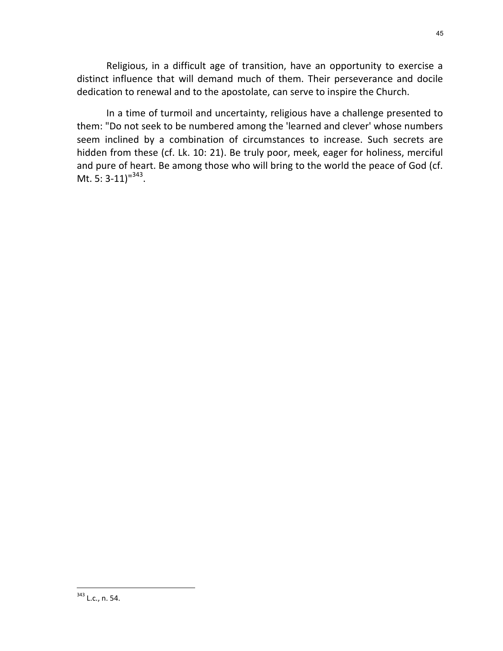Religious, in a difficult age of transition, have an opportunity to exercise a distinct influence that will demand much of them. Their perseverance and docile dedication to renewal and to the apostolate, can serve to inspire the Church.

In a time of turmoil and uncertainty, religious have a challenge presented to them: "Do not seek to be numbered among the 'learned and clever' whose numbers seem inclined by a combination of circumstances to increase. Such secrets are hidden from these (cf. Lk. 10: 21). Be truly poor, meek, eager for holiness, merciful and pure of heart. Be among those who will bring to the world the peace of God (cf. Mt. 5: 3-11)<sup> $1343$ </sup>.

<sup>&</sup>lt;sup>343</sup> L.c., n. 54.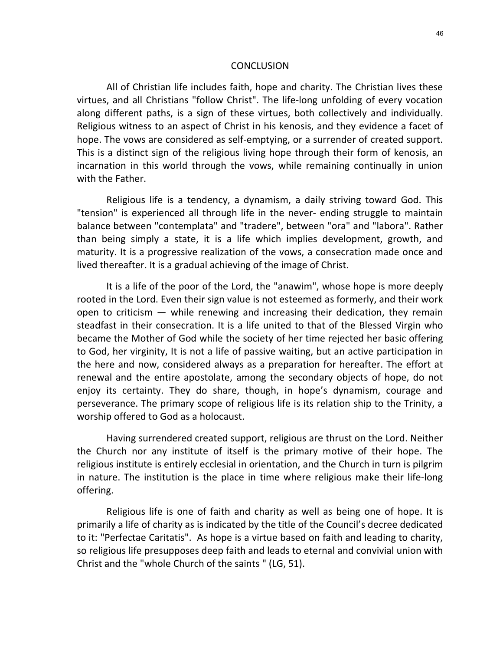#### **CONCLUSION**

All of Christian life includes faith, hope and charity. The Christian lives these virtues, and all Christians "follow Christ". The life-long unfolding of every vocation along different paths, is a sign of these virtues, both collectively and individually. Religious witness to an aspect of Christ in his kenosis, and they evidence a facet of hope. The vows are considered as self-emptying, or a surrender of created support. This is a distinct sign of the religious living hope through their form of kenosis, an incarnation in this world through the vows, while remaining continually in union with the Father.

Religious life is a tendency, a dynamism, a daily striving toward God. This "tension" is experienced all through life in the never- ending struggle to maintain balance between "contemplata" and "tradere", between "ora" and "labora". Rather than being simply a state, it is a life which implies development, growth, and maturity. It is a progressive realization of the vows, a consecration made once and lived thereafter. It is a gradual achieving of the image of Christ.

It is a life of the poor of the Lord, the "anawim", whose hope is more deeply rooted in the Lord. Even their sign value is not esteemed as formerly, and their work open to criticism — while renewing and increasing their dedication, they remain steadfast in their consecration. It is a life united to that of the Blessed Virgin who became the Mother of God while the society of her time rejected her basic offering to God, her virginity, It is not a life of passive waiting, but an active participation in the here and now, considered always as a preparation for hereafter. The effort at renewal and the entire apostolate, among the secondary objects of hope, do not enjoy its certainty. They do share, though, in hope's dynamism, courage and perseverance. The primary scope of religious life is its relation ship to the Trinity, a worship offered to God as a holocaust.

Having surrendered created support, religious are thrust on the Lord. Neither the Church nor any institute of itself is the primary motive of their hope. The religious institute is entirely ecclesial in orientation, and the Church in turn is pilgrim in nature. The institution is the place in time where religious make their life-long offering.

Religious life is one of faith and charity as well as being one of hope. It is primarily a life of charity as is indicated by the title of the Council's decree dedicated to it: "Perfectae Caritatis". As hope is a virtue based on faith and leading to charity, so religious life presupposes deep faith and leads to eternal and convivial union with Christ and the "whole Church of the saints " (LG, 51).